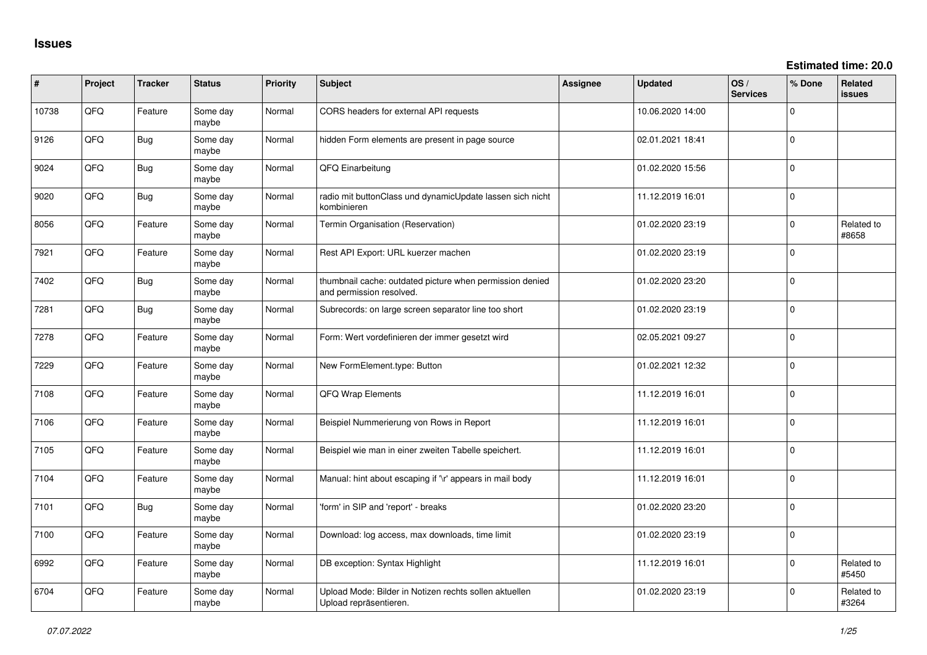**Estimated time: 20.0**

| ∦     | Project | <b>Tracker</b> | <b>Status</b>     | <b>Priority</b> | <b>Subject</b>                                                                       | <b>Assignee</b> | Updated          | OS/<br><b>Services</b> | % Done      | <b>Related</b><br>issues |
|-------|---------|----------------|-------------------|-----------------|--------------------------------------------------------------------------------------|-----------------|------------------|------------------------|-------------|--------------------------|
| 10738 | QFQ     | Feature        | Some day<br>maybe | Normal          | CORS headers for external API requests                                               |                 | 10.06.2020 14:00 |                        | $\Omega$    |                          |
| 9126  | QFQ     | Bug            | Some day<br>maybe | Normal          | hidden Form elements are present in page source                                      |                 | 02.01.2021 18:41 |                        | $\Omega$    |                          |
| 9024  | QFQ     | Bug            | Some day<br>maybe | Normal          | QFQ Einarbeitung                                                                     |                 | 01.02.2020 15:56 |                        | $\Omega$    |                          |
| 9020  | QFQ     | Bug            | Some day<br>maybe | Normal          | radio mit buttonClass und dynamicUpdate lassen sich nicht<br>kombinieren             |                 | 11.12.2019 16:01 |                        | $\Omega$    |                          |
| 8056  | QFQ     | Feature        | Some day<br>maybe | Normal          | Termin Organisation (Reservation)                                                    |                 | 01.02.2020 23:19 |                        | $\Omega$    | Related to<br>#8658      |
| 7921  | QFQ     | Feature        | Some day<br>maybe | Normal          | Rest API Export: URL kuerzer machen                                                  |                 | 01.02.2020 23:19 |                        | $\Omega$    |                          |
| 7402  | QFQ     | Bug            | Some day<br>maybe | Normal          | thumbnail cache: outdated picture when permission denied<br>and permission resolved. |                 | 01.02.2020 23:20 |                        | $\mathbf 0$ |                          |
| 7281  | QFQ     | Bug            | Some day<br>maybe | Normal          | Subrecords: on large screen separator line too short                                 |                 | 01.02.2020 23:19 |                        | $\Omega$    |                          |
| 7278  | QFQ     | Feature        | Some day<br>maybe | Normal          | Form: Wert vordefinieren der immer gesetzt wird                                      |                 | 02.05.2021 09:27 |                        | $\Omega$    |                          |
| 7229  | QFQ     | Feature        | Some day<br>maybe | Normal          | New FormElement.type: Button                                                         |                 | 01.02.2021 12:32 |                        | $\Omega$    |                          |
| 7108  | QFQ     | Feature        | Some day<br>maybe | Normal          | QFQ Wrap Elements                                                                    |                 | 11.12.2019 16:01 |                        | $\mathbf 0$ |                          |
| 7106  | QFQ     | Feature        | Some day<br>maybe | Normal          | Beispiel Nummerierung von Rows in Report                                             |                 | 11.12.2019 16:01 |                        | $\Omega$    |                          |
| 7105  | QFQ     | Feature        | Some day<br>maybe | Normal          | Beispiel wie man in einer zweiten Tabelle speichert.                                 |                 | 11.12.2019 16:01 |                        | $\Omega$    |                          |
| 7104  | QFQ     | Feature        | Some day<br>maybe | Normal          | Manual: hint about escaping if '\r' appears in mail body                             |                 | 11.12.2019 16:01 |                        | $\Omega$    |                          |
| 7101  | QFQ     | Bug            | Some day<br>maybe | Normal          | 'form' in SIP and 'report' - breaks                                                  |                 | 01.02.2020 23:20 |                        | $\Omega$    |                          |
| 7100  | QFQ     | Feature        | Some day<br>maybe | Normal          | Download: log access, max downloads, time limit                                      |                 | 01.02.2020 23:19 |                        | $\Omega$    |                          |
| 6992  | QFG     | Feature        | Some day<br>maybe | Normal          | DB exception: Syntax Highlight                                                       |                 | 11.12.2019 16:01 |                        | $\Omega$    | Related to<br>#5450      |
| 6704  | QFQ     | Feature        | Some day<br>maybe | Normal          | Upload Mode: Bilder in Notizen rechts sollen aktuellen<br>Upload repräsentieren.     |                 | 01.02.2020 23:19 |                        | $\Omega$    | Related to<br>#3264      |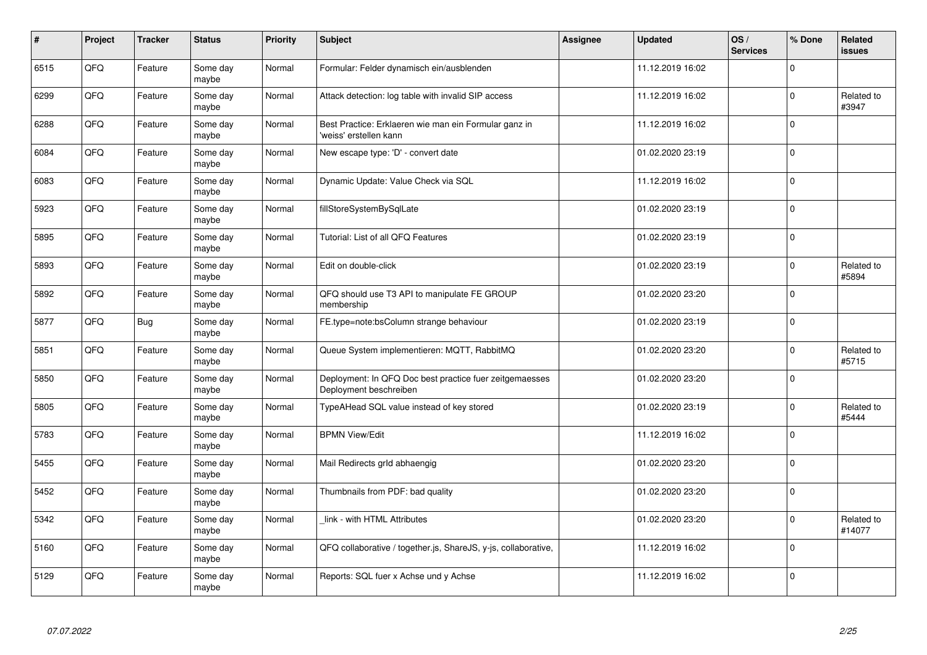| $\vert$ # | Project | <b>Tracker</b> | <b>Status</b>     | <b>Priority</b> | <b>Subject</b>                                                                    | Assignee | <b>Updated</b>   | OS/<br><b>Services</b> | % Done      | Related<br><b>issues</b> |
|-----------|---------|----------------|-------------------|-----------------|-----------------------------------------------------------------------------------|----------|------------------|------------------------|-------------|--------------------------|
| 6515      | QFQ     | Feature        | Some day<br>maybe | Normal          | Formular: Felder dynamisch ein/ausblenden                                         |          | 11.12.2019 16:02 |                        | $\Omega$    |                          |
| 6299      | QFQ     | Feature        | Some day<br>maybe | Normal          | Attack detection: log table with invalid SIP access                               |          | 11.12.2019 16:02 |                        | $\Omega$    | Related to<br>#3947      |
| 6288      | QFQ     | Feature        | Some day<br>maybe | Normal          | Best Practice: Erklaeren wie man ein Formular ganz in<br>'weiss' erstellen kann   |          | 11.12.2019 16:02 |                        | $\Omega$    |                          |
| 6084      | QFQ     | Feature        | Some day<br>maybe | Normal          | New escape type: 'D' - convert date                                               |          | 01.02.2020 23:19 |                        | $\Omega$    |                          |
| 6083      | QFQ     | Feature        | Some day<br>maybe | Normal          | Dynamic Update: Value Check via SQL                                               |          | 11.12.2019 16:02 |                        | $\Omega$    |                          |
| 5923      | QFQ     | Feature        | Some day<br>maybe | Normal          | fillStoreSystemBySqlLate                                                          |          | 01.02.2020 23:19 |                        | $\Omega$    |                          |
| 5895      | QFQ     | Feature        | Some day<br>maybe | Normal          | Tutorial: List of all QFQ Features                                                |          | 01.02.2020 23:19 |                        | $\mathbf 0$ |                          |
| 5893      | QFQ     | Feature        | Some day<br>maybe | Normal          | Edit on double-click                                                              |          | 01.02.2020 23:19 |                        | $\Omega$    | Related to<br>#5894      |
| 5892      | QFQ     | Feature        | Some day<br>maybe | Normal          | QFQ should use T3 API to manipulate FE GROUP<br>membership                        |          | 01.02.2020 23:20 |                        | $\Omega$    |                          |
| 5877      | QFQ     | Bug            | Some day<br>maybe | Normal          | FE.type=note:bsColumn strange behaviour                                           |          | 01.02.2020 23:19 |                        | $\mathbf 0$ |                          |
| 5851      | QFQ     | Feature        | Some day<br>maybe | Normal          | Queue System implementieren: MQTT, RabbitMQ                                       |          | 01.02.2020 23:20 |                        | $\Omega$    | Related to<br>#5715      |
| 5850      | QFQ     | Feature        | Some day<br>maybe | Normal          | Deployment: In QFQ Doc best practice fuer zeitgemaesses<br>Deployment beschreiben |          | 01.02.2020 23:20 |                        | $\Omega$    |                          |
| 5805      | QFQ     | Feature        | Some day<br>maybe | Normal          | TypeAHead SQL value instead of key stored                                         |          | 01.02.2020 23:19 |                        | $\mathbf 0$ | Related to<br>#5444      |
| 5783      | QFQ     | Feature        | Some day<br>maybe | Normal          | <b>BPMN View/Edit</b>                                                             |          | 11.12.2019 16:02 |                        | $\mathbf 0$ |                          |
| 5455      | QFQ     | Feature        | Some day<br>maybe | Normal          | Mail Redirects grld abhaengig                                                     |          | 01.02.2020 23:20 |                        | $\Omega$    |                          |
| 5452      | QFQ     | Feature        | Some day<br>maybe | Normal          | Thumbnails from PDF: bad quality                                                  |          | 01.02.2020 23:20 |                        | $\Omega$    |                          |
| 5342      | QFQ     | Feature        | Some day<br>maybe | Normal          | link - with HTML Attributes                                                       |          | 01.02.2020 23:20 |                        | $\Omega$    | Related to<br>#14077     |
| 5160      | QFQ     | Feature        | Some day<br>maybe | Normal          | QFQ collaborative / together.js, ShareJS, y-js, collaborative,                    |          | 11.12.2019 16:02 |                        | $\mathbf 0$ |                          |
| 5129      | QFQ     | Feature        | Some day<br>maybe | Normal          | Reports: SQL fuer x Achse und y Achse                                             |          | 11.12.2019 16:02 |                        | $\Omega$    |                          |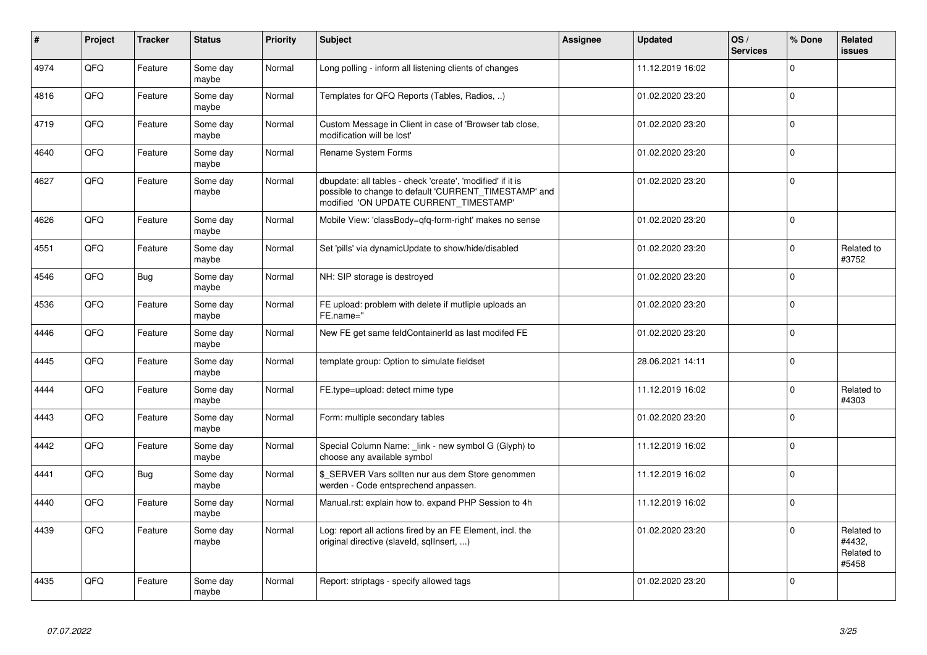| $\vert$ # | Project | <b>Tracker</b> | <b>Status</b>     | <b>Priority</b> | <b>Subject</b>                                                                                                                                                | Assignee | <b>Updated</b>   | OS/<br><b>Services</b> | % Done         | Related<br><b>issues</b>                    |
|-----------|---------|----------------|-------------------|-----------------|---------------------------------------------------------------------------------------------------------------------------------------------------------------|----------|------------------|------------------------|----------------|---------------------------------------------|
| 4974      | QFQ     | Feature        | Some day<br>maybe | Normal          | Long polling - inform all listening clients of changes                                                                                                        |          | 11.12.2019 16:02 |                        | $\Omega$       |                                             |
| 4816      | QFQ     | Feature        | Some day<br>maybe | Normal          | Templates for QFQ Reports (Tables, Radios, )                                                                                                                  |          | 01.02.2020 23:20 |                        | 0              |                                             |
| 4719      | QFQ     | Feature        | Some day<br>maybe | Normal          | Custom Message in Client in case of 'Browser tab close,<br>modification will be lost'                                                                         |          | 01.02.2020 23:20 |                        | $\mathbf 0$    |                                             |
| 4640      | QFQ     | Feature        | Some day<br>maybe | Normal          | Rename System Forms                                                                                                                                           |          | 01.02.2020 23:20 |                        | $\Omega$       |                                             |
| 4627      | QFQ     | Feature        | Some day<br>maybe | Normal          | dbupdate: all tables - check 'create', 'modified' if it is<br>possible to change to default 'CURRENT_TIMESTAMP' and<br>modified 'ON UPDATE CURRENT TIMESTAMP' |          | 01.02.2020 23:20 |                        | $\Omega$       |                                             |
| 4626      | QFQ     | Feature        | Some day<br>maybe | Normal          | Mobile View: 'classBody=qfq-form-right' makes no sense                                                                                                        |          | 01.02.2020 23:20 |                        | $\Omega$       |                                             |
| 4551      | QFQ     | Feature        | Some day<br>maybe | Normal          | Set 'pills' via dynamicUpdate to show/hide/disabled                                                                                                           |          | 01.02.2020 23:20 |                        | 0              | Related to<br>#3752                         |
| 4546      | QFQ     | Bug            | Some day<br>maybe | Normal          | NH: SIP storage is destroyed                                                                                                                                  |          | 01.02.2020 23:20 |                        | $\mathbf 0$    |                                             |
| 4536      | QFQ     | Feature        | Some day<br>maybe | Normal          | FE upload: problem with delete if mutliple uploads an<br>FE.name="                                                                                            |          | 01.02.2020 23:20 |                        | 0              |                                             |
| 4446      | QFQ     | Feature        | Some day<br>maybe | Normal          | New FE get same feldContainerId as last modifed FE                                                                                                            |          | 01.02.2020 23:20 |                        | 0              |                                             |
| 4445      | QFQ     | Feature        | Some day<br>maybe | Normal          | template group: Option to simulate fieldset                                                                                                                   |          | 28.06.2021 14:11 |                        | $\mathbf 0$    |                                             |
| 4444      | QFQ     | Feature        | Some day<br>maybe | Normal          | FE.type=upload: detect mime type                                                                                                                              |          | 11.12.2019 16:02 |                        | $\Omega$       | Related to<br>#4303                         |
| 4443      | QFQ     | Feature        | Some day<br>maybe | Normal          | Form: multiple secondary tables                                                                                                                               |          | 01.02.2020 23:20 |                        | $\Omega$       |                                             |
| 4442      | QFQ     | Feature        | Some day<br>maybe | Normal          | Special Column Name: link - new symbol G (Glyph) to<br>choose any available symbol                                                                            |          | 11.12.2019 16:02 |                        | $\Omega$       |                                             |
| 4441      | QFQ     | Bug            | Some day<br>maybe | Normal          | \$_SERVER Vars sollten nur aus dem Store genommen<br>werden - Code entsprechend anpassen.                                                                     |          | 11.12.2019 16:02 |                        | $\Omega$       |                                             |
| 4440      | QFQ     | Feature        | Some day<br>maybe | Normal          | Manual.rst: explain how to. expand PHP Session to 4h                                                                                                          |          | 11.12.2019 16:02 |                        | $\Omega$       |                                             |
| 4439      | QFQ     | Feature        | Some day<br>maybe | Normal          | Log: report all actions fired by an FE Element, incl. the<br>original directive (slaveld, sqllnsert, )                                                        |          | 01.02.2020 23:20 |                        | $\Omega$       | Related to<br>#4432,<br>Related to<br>#5458 |
| 4435      | QFQ     | Feature        | Some day<br>maybe | Normal          | Report: striptags - specify allowed tags                                                                                                                      |          | 01.02.2020 23:20 |                        | $\overline{0}$ |                                             |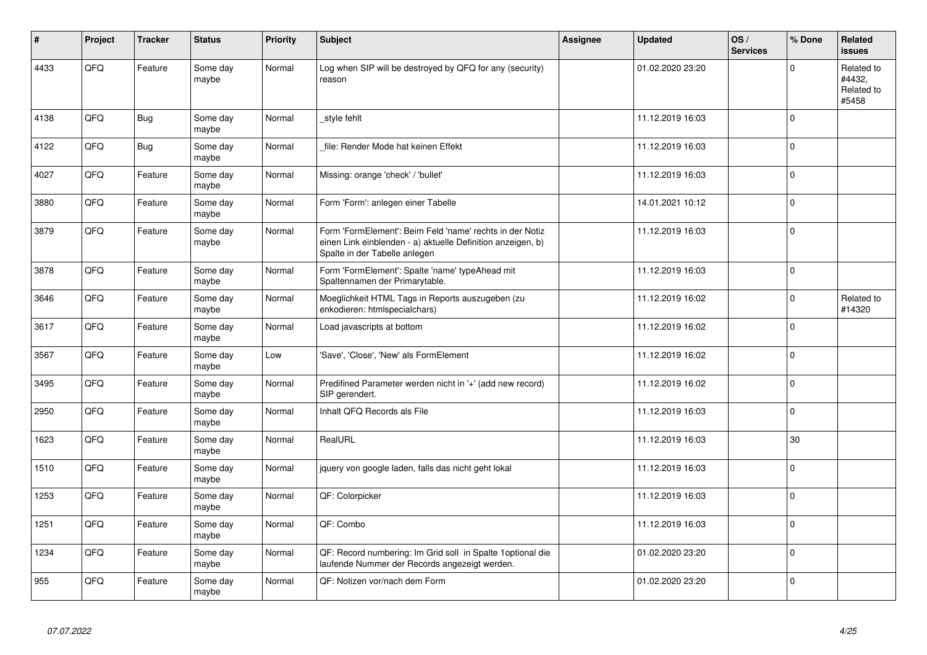| $\vert$ # | Project | <b>Tracker</b> | <b>Status</b>     | <b>Priority</b> | <b>Subject</b>                                                                                                                                           | <b>Assignee</b> | <b>Updated</b>   | OS/<br><b>Services</b> | % Done      | Related<br><b>issues</b>                    |
|-----------|---------|----------------|-------------------|-----------------|----------------------------------------------------------------------------------------------------------------------------------------------------------|-----------------|------------------|------------------------|-------------|---------------------------------------------|
| 4433      | QFQ     | Feature        | Some day<br>maybe | Normal          | Log when SIP will be destroyed by QFQ for any (security)<br>reason                                                                                       |                 | 01.02.2020 23:20 |                        | $\Omega$    | Related to<br>#4432.<br>Related to<br>#5458 |
| 4138      | QFQ     | Bug            | Some day<br>maybe | Normal          | style fehlt                                                                                                                                              |                 | 11.12.2019 16:03 |                        | $\Omega$    |                                             |
| 4122      | QFQ     | <b>Bug</b>     | Some day<br>maybe | Normal          | file: Render Mode hat keinen Effekt                                                                                                                      |                 | 11.12.2019 16:03 |                        | $\Omega$    |                                             |
| 4027      | QFQ     | Feature        | Some day<br>maybe | Normal          | Missing: orange 'check' / 'bullet'                                                                                                                       |                 | 11.12.2019 16:03 |                        | $\Omega$    |                                             |
| 3880      | QFQ     | Feature        | Some day<br>maybe | Normal          | Form 'Form': anlegen einer Tabelle                                                                                                                       |                 | 14.01.2021 10:12 |                        | 0           |                                             |
| 3879      | QFQ     | Feature        | Some day<br>maybe | Normal          | Form 'FormElement': Beim Feld 'name' rechts in der Notiz<br>einen Link einblenden - a) aktuelle Definition anzeigen, b)<br>Spalte in der Tabelle anlegen |                 | 11.12.2019 16:03 |                        | $\mathbf 0$ |                                             |
| 3878      | QFQ     | Feature        | Some day<br>maybe | Normal          | Form 'FormElement': Spalte 'name' typeAhead mit<br>Spaltennamen der Primarytable.                                                                        |                 | 11.12.2019 16:03 |                        | $\Omega$    |                                             |
| 3646      | QFQ     | Feature        | Some day<br>maybe | Normal          | Moeglichkeit HTML Tags in Reports auszugeben (zu<br>enkodieren: htmlspecialchars)                                                                        |                 | 11.12.2019 16:02 |                        | $\Omega$    | Related to<br>#14320                        |
| 3617      | QFQ     | Feature        | Some day<br>maybe | Normal          | Load javascripts at bottom                                                                                                                               |                 | 11.12.2019 16:02 |                        | $\Omega$    |                                             |
| 3567      | QFQ     | Feature        | Some day<br>maybe | Low             | 'Save', 'Close', 'New' als FormElement                                                                                                                   |                 | 11.12.2019 16:02 |                        | $\Omega$    |                                             |
| 3495      | QFQ     | Feature        | Some day<br>maybe | Normal          | Predifined Parameter werden nicht in '+' (add new record)<br>SIP gerendert.                                                                              |                 | 11.12.2019 16:02 |                        | $\mathbf 0$ |                                             |
| 2950      | QFQ     | Feature        | Some day<br>maybe | Normal          | Inhalt QFQ Records als File                                                                                                                              |                 | 11.12.2019 16:03 |                        | $\Omega$    |                                             |
| 1623      | QFQ     | Feature        | Some day<br>maybe | Normal          | RealURL                                                                                                                                                  |                 | 11.12.2019 16:03 |                        | 30          |                                             |
| 1510      | QFQ     | Feature        | Some day<br>maybe | Normal          | jquery von google laden, falls das nicht geht lokal                                                                                                      |                 | 11.12.2019 16:03 |                        | $\Omega$    |                                             |
| 1253      | QFQ     | Feature        | Some day<br>maybe | Normal          | QF: Colorpicker                                                                                                                                          |                 | 11.12.2019 16:03 |                        | $\Omega$    |                                             |
| 1251      | QFQ     | Feature        | Some day<br>maybe | Normal          | QF: Combo                                                                                                                                                |                 | 11.12.2019 16:03 |                        | $\Omega$    |                                             |
| 1234      | QFQ     | Feature        | Some day<br>maybe | Normal          | QF: Record numbering: Im Grid soll in Spalte 1 optional die<br>laufende Nummer der Records angezeigt werden.                                             |                 | 01.02.2020 23:20 |                        | $\mathbf 0$ |                                             |
| 955       | QFQ     | Feature        | Some day<br>maybe | Normal          | QF: Notizen vor/nach dem Form                                                                                                                            |                 | 01.02.2020 23:20 |                        | $\mathbf 0$ |                                             |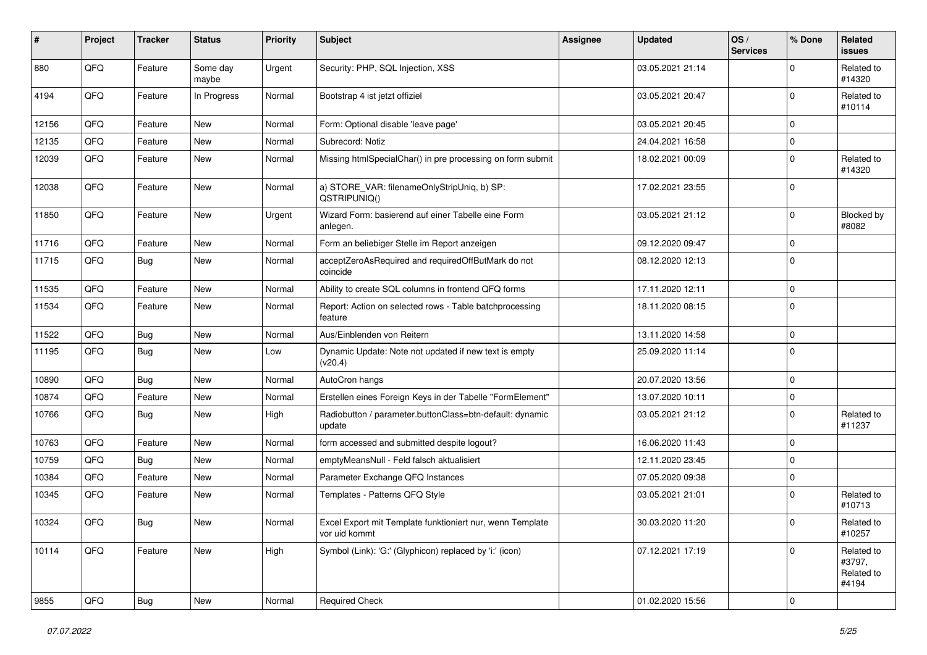| #     | Project | <b>Tracker</b> | <b>Status</b>     | <b>Priority</b> | <b>Subject</b>                                                             | <b>Assignee</b> | <b>Updated</b>   | OS/<br><b>Services</b> | % Done       | Related<br>issues                           |
|-------|---------|----------------|-------------------|-----------------|----------------------------------------------------------------------------|-----------------|------------------|------------------------|--------------|---------------------------------------------|
| 880   | QFQ     | Feature        | Some day<br>maybe | Urgent          | Security: PHP, SQL Injection, XSS                                          |                 | 03.05.2021 21:14 |                        | $\Omega$     | Related to<br>#14320                        |
| 4194  | QFQ     | Feature        | In Progress       | Normal          | Bootstrap 4 ist jetzt offiziel                                             |                 | 03.05.2021 20:47 |                        | $\Omega$     | Related to<br>#10114                        |
| 12156 | QFQ     | Feature        | New               | Normal          | Form: Optional disable 'leave page'                                        |                 | 03.05.2021 20:45 |                        | $\Omega$     |                                             |
| 12135 | QFQ     | Feature        | <b>New</b>        | Normal          | Subrecord: Notiz                                                           |                 | 24.04.2021 16:58 |                        | $\Omega$     |                                             |
| 12039 | QFQ     | Feature        | New               | Normal          | Missing htmlSpecialChar() in pre processing on form submit                 |                 | 18.02.2021 00:09 |                        | $\Omega$     | Related to<br>#14320                        |
| 12038 | QFQ     | Feature        | <b>New</b>        | Normal          | a) STORE_VAR: filenameOnlyStripUniq, b) SP:<br>QSTRIPUNIQ()                |                 | 17.02.2021 23:55 |                        | $\mathbf 0$  |                                             |
| 11850 | QFQ     | Feature        | <b>New</b>        | Urgent          | Wizard Form: basierend auf einer Tabelle eine Form<br>anlegen.             |                 | 03.05.2021 21:12 |                        | $\Omega$     | Blocked by<br>#8082                         |
| 11716 | QFQ     | Feature        | <b>New</b>        | Normal          | Form an beliebiger Stelle im Report anzeigen                               |                 | 09.12.2020 09:47 |                        | 0            |                                             |
| 11715 | QFQ     | Bug            | <b>New</b>        | Normal          | acceptZeroAsRequired and requiredOffButMark do not<br>coincide             |                 | 08.12.2020 12:13 |                        | $\Omega$     |                                             |
| 11535 | QFQ     | Feature        | New               | Normal          | Ability to create SQL columns in frontend QFQ forms                        |                 | 17.11.2020 12:11 |                        | $\Omega$     |                                             |
| 11534 | QFQ     | Feature        | <b>New</b>        | Normal          | Report: Action on selected rows - Table batchprocessing<br>feature         |                 | 18.11.2020 08:15 |                        | 0            |                                             |
| 11522 | QFQ     | Bug            | <b>New</b>        | Normal          | Aus/Einblenden von Reitern                                                 |                 | 13.11.2020 14:58 |                        | $\Omega$     |                                             |
| 11195 | QFQ     | <b>Bug</b>     | <b>New</b>        | Low             | Dynamic Update: Note not updated if new text is empty<br>(v20.4)           |                 | 25.09.2020 11:14 |                        | $\Omega$     |                                             |
| 10890 | QFQ     | Bug            | New               | Normal          | AutoCron hangs                                                             |                 | 20.07.2020 13:56 |                        | $\Omega$     |                                             |
| 10874 | QFQ     | Feature        | <b>New</b>        | Normal          | Erstellen eines Foreign Keys in der Tabelle "FormElement"                  |                 | 13.07.2020 10:11 |                        | $\mathbf 0$  |                                             |
| 10766 | QFQ     | Bug            | <b>New</b>        | High            | Radiobutton / parameter.buttonClass=btn-default: dynamic<br>update         |                 | 03.05.2021 21:12 |                        | $\Omega$     | Related to<br>#11237                        |
| 10763 | QFQ     | Feature        | New               | Normal          | form accessed and submitted despite logout?                                |                 | 16.06.2020 11:43 |                        | $\mathbf 0$  |                                             |
| 10759 | QFQ     | Bug            | <b>New</b>        | Normal          | emptyMeansNull - Feld falsch aktualisiert                                  |                 | 12.11.2020 23:45 |                        | $\Omega$     |                                             |
| 10384 | QFQ     | Feature        | <b>New</b>        | Normal          | Parameter Exchange QFQ Instances                                           |                 | 07.05.2020 09:38 |                        | $\mathbf 0$  |                                             |
| 10345 | QFQ     | Feature        | <b>New</b>        | Normal          | Templates - Patterns QFQ Style                                             |                 | 03.05.2021 21:01 |                        | $\Omega$     | Related to<br>#10713                        |
| 10324 | QFQ     | Bug            | New               | Normal          | Excel Export mit Template funktioniert nur, wenn Template<br>vor uid kommt |                 | 30.03.2020 11:20 |                        | $^{\circ}$ 0 | Related to<br>#10257                        |
| 10114 | QFQ     | Feature        | New               | High            | Symbol (Link): 'G:' (Glyphicon) replaced by 'i:' (icon)                    |                 | 07.12.2021 17:19 |                        | $\mathbf 0$  | Related to<br>#3797,<br>Related to<br>#4194 |
| 9855  | QFQ     | Bug            | New               | Normal          | <b>Required Check</b>                                                      |                 | 01.02.2020 15:56 |                        | $\mathbf 0$  |                                             |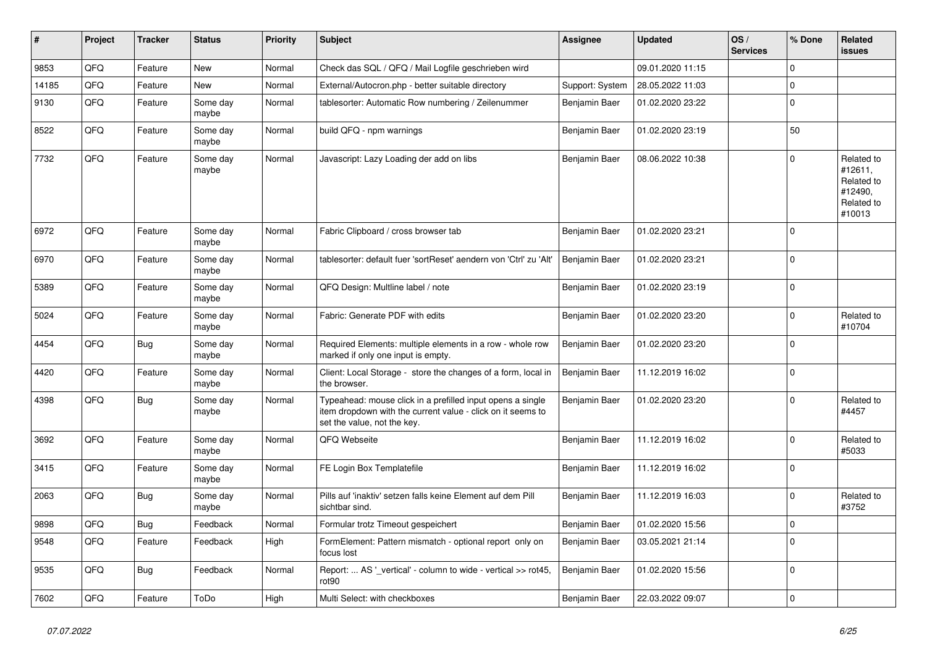| ∦     | Project | <b>Tracker</b> | <b>Status</b>     | <b>Priority</b> | <b>Subject</b>                                                                                                                                           | <b>Assignee</b> | <b>Updated</b>                   | OS/<br><b>Services</b> | % Done      | Related<br>issues                                                      |
|-------|---------|----------------|-------------------|-----------------|----------------------------------------------------------------------------------------------------------------------------------------------------------|-----------------|----------------------------------|------------------------|-------------|------------------------------------------------------------------------|
| 9853  | QFQ     | Feature        | <b>New</b>        | Normal          | Check das SQL / QFQ / Mail Logfile geschrieben wird                                                                                                      |                 | 09.01.2020 11:15                 |                        | $\Omega$    |                                                                        |
| 14185 | QFQ     | Feature        | <b>New</b>        | Normal          | External/Autocron.php - better suitable directory                                                                                                        | Support: System | 28.05.2022 11:03                 |                        | $\mathbf 0$ |                                                                        |
| 9130  | QFQ     | Feature        | Some day<br>maybe | Normal          | tablesorter: Automatic Row numbering / Zeilenummer                                                                                                       | Benjamin Baer   | 01.02.2020 23:22                 |                        | $\mathbf 0$ |                                                                        |
| 8522  | QFQ     | Feature        | Some day<br>maybe | Normal          | build QFQ - npm warnings                                                                                                                                 | Benjamin Baer   | 01.02.2020 23:19                 |                        | 50          |                                                                        |
| 7732  | QFQ     | Feature        | Some day<br>maybe | Normal          | Javascript: Lazy Loading der add on libs                                                                                                                 | Benjamin Baer   | 08.06.2022 10:38                 |                        | $\mathbf 0$ | Related to<br>#12611,<br>Related to<br>#12490.<br>Related to<br>#10013 |
| 6972  | QFQ     | Feature        | Some day<br>maybe | Normal          | Fabric Clipboard / cross browser tab                                                                                                                     | Benjamin Baer   | 01.02.2020 23:21                 |                        | 0           |                                                                        |
| 6970  | QFQ     | Feature        | Some day<br>maybe | Normal          | tablesorter: default fuer 'sortReset' aendern von 'Ctrl' zu 'Alt'                                                                                        | Benjamin Baer   | 01.02.2020 23:21                 |                        | $\mathbf 0$ |                                                                        |
| 5389  | QFQ     | Feature        | Some day<br>maybe | Normal          | QFQ Design: Multline label / note                                                                                                                        | Benjamin Baer   | 01.02.2020 23:19                 |                        | $\mathbf 0$ |                                                                        |
| 5024  | QFQ     | Feature        | Some day<br>maybe | Normal          | Fabric: Generate PDF with edits                                                                                                                          | Benjamin Baer   | 01.02.2020 23:20                 |                        | $\mathbf 0$ | Related to<br>#10704                                                   |
| 4454  | QFQ     | Bug            | Some day<br>maybe | Normal          | Required Elements: multiple elements in a row - whole row<br>marked if only one input is empty.                                                          | Benjamin Baer   | 01.02.2020 23:20                 |                        | $\mathbf 0$ |                                                                        |
| 4420  | QFQ     | Feature        | Some day<br>maybe | Normal          | Client: Local Storage - store the changes of a form, local in<br>the browser.                                                                            | Benjamin Baer   | 11.12.2019 16:02                 |                        | $\mathbf 0$ |                                                                        |
| 4398  | QFQ     | Bug            | Some day<br>maybe | Normal          | Typeahead: mouse click in a prefilled input opens a single<br>item dropdown with the current value - click on it seems to<br>set the value, not the key. | Benjamin Baer   | 01.02.2020 23:20                 |                        | $\Omega$    | Related to<br>#4457                                                    |
| 3692  | QFQ     | Feature        | Some day<br>maybe | Normal          | QFQ Webseite                                                                                                                                             | Benjamin Baer   | 11.12.2019 16:02                 |                        | $\Omega$    | Related to<br>#5033                                                    |
| 3415  | QFQ     | Feature        | Some day<br>maybe | Normal          | FE Login Box Templatefile                                                                                                                                | Benjamin Baer   | 11.12.2019 16:02                 |                        | $\Omega$    |                                                                        |
| 2063  | QFQ     | Bug            | Some day<br>maybe | Normal          | Pills auf 'inaktiv' setzen falls keine Element auf dem Pill<br>sichtbar sind.                                                                            | Benjamin Baer   | 11.12.2019 16:03                 |                        | $\Omega$    | Related to<br>#3752                                                    |
| 9898  | QFQ     | Bug            | Feedback          | Normal          | Formular trotz Timeout gespeichert                                                                                                                       |                 | Benjamin Baer   01.02.2020 15:56 |                        | $\pmb{0}$   |                                                                        |
| 9548  | QFQ     | Feature        | Feedback          | High            | FormElement: Pattern mismatch - optional report only on<br>focus lost                                                                                    | Benjamin Baer   | 03.05.2021 21:14                 |                        | $\mathbf 0$ |                                                                        |
| 9535  | QFQ     | <b>Bug</b>     | Feedback          | Normal          | Report:  AS '_vertical' - column to wide - vertical >> rot45,<br>rot90                                                                                   | Benjamin Baer   | 01.02.2020 15:56                 |                        | 0           |                                                                        |
| 7602  | QFQ     | Feature        | ToDo              | High            | Multi Select: with checkboxes                                                                                                                            | Benjamin Baer   | 22.03.2022 09:07                 |                        | 0           |                                                                        |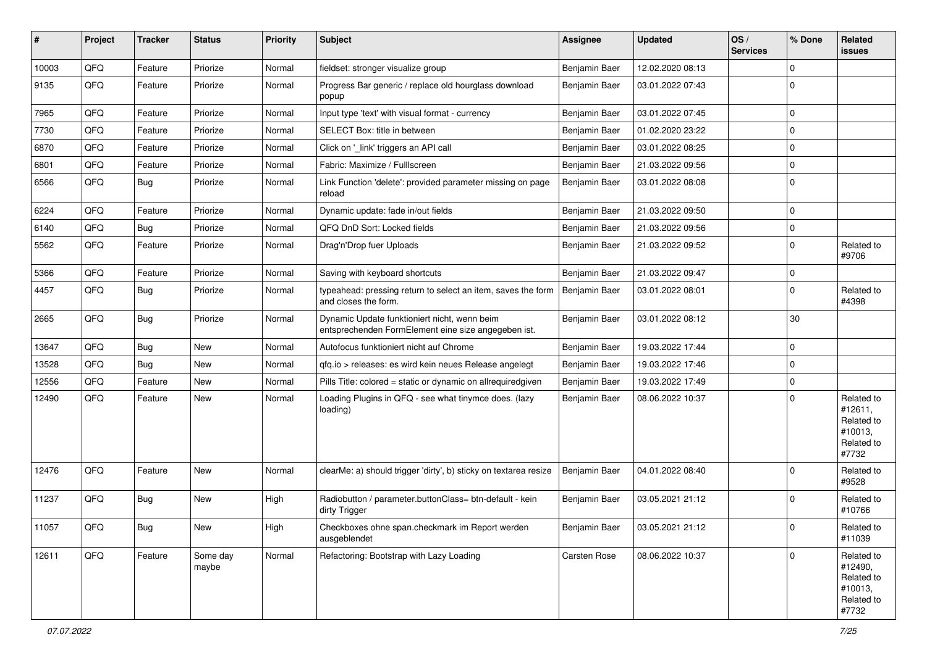| #     | Project | <b>Tracker</b> | <b>Status</b>     | <b>Priority</b> | <b>Subject</b>                                                                                      | <b>Assignee</b> | <b>Updated</b>   | OS/<br><b>Services</b> | % Done      | Related<br>issues                                                     |
|-------|---------|----------------|-------------------|-----------------|-----------------------------------------------------------------------------------------------------|-----------------|------------------|------------------------|-------------|-----------------------------------------------------------------------|
| 10003 | QFQ     | Feature        | Priorize          | Normal          | fieldset: stronger visualize group                                                                  | Benjamin Baer   | 12.02.2020 08:13 |                        | $\Omega$    |                                                                       |
| 9135  | QFQ     | Feature        | Priorize          | Normal          | Progress Bar generic / replace old hourglass download<br>popup                                      | Benjamin Baer   | 03.01.2022 07:43 |                        | $\Omega$    |                                                                       |
| 7965  | QFQ     | Feature        | Priorize          | Normal          | Input type 'text' with visual format - currency                                                     | Benjamin Baer   | 03.01.2022 07:45 |                        | 0           |                                                                       |
| 7730  | QFQ     | Feature        | Priorize          | Normal          | SELECT Box: title in between                                                                        | Benjamin Baer   | 01.02.2020 23:22 |                        | 0           |                                                                       |
| 6870  | QFQ     | Feature        | Priorize          | Normal          | Click on '_link' triggers an API call                                                               | Benjamin Baer   | 03.01.2022 08:25 |                        | $\Omega$    |                                                                       |
| 6801  | QFQ     | Feature        | Priorize          | Normal          | Fabric: Maximize / FullIscreen                                                                      | Benjamin Baer   | 21.03.2022 09:56 |                        | $\mathbf 0$ |                                                                       |
| 6566  | QFQ     | Bug            | Priorize          | Normal          | Link Function 'delete': provided parameter missing on page<br>reload                                | Benjamin Baer   | 03.01.2022 08:08 |                        | $\Omega$    |                                                                       |
| 6224  | QFQ     | Feature        | Priorize          | Normal          | Dynamic update: fade in/out fields                                                                  | Benjamin Baer   | 21.03.2022 09:50 |                        | $\Omega$    |                                                                       |
| 6140  | QFQ     | Bug            | Priorize          | Normal          | QFQ DnD Sort: Locked fields                                                                         | Benjamin Baer   | 21.03.2022 09:56 |                        | $\mathbf 0$ |                                                                       |
| 5562  | QFQ     | Feature        | Priorize          | Normal          | Drag'n'Drop fuer Uploads                                                                            | Benjamin Baer   | 21.03.2022 09:52 |                        | $\Omega$    | Related to<br>#9706                                                   |
| 5366  | QFQ     | Feature        | Priorize          | Normal          | Saving with keyboard shortcuts                                                                      | Benjamin Baer   | 21.03.2022 09:47 |                        | $\mathbf 0$ |                                                                       |
| 4457  | QFQ     | Bug            | Priorize          | Normal          | typeahead: pressing return to select an item, saves the form<br>and closes the form.                | Benjamin Baer   | 03.01.2022 08:01 |                        | $\Omega$    | Related to<br>#4398                                                   |
| 2665  | QFQ     | Bug            | Priorize          | Normal          | Dynamic Update funktioniert nicht, wenn beim<br>entsprechenden FormElement eine size angegeben ist. | Benjamin Baer   | 03.01.2022 08:12 |                        | 30          |                                                                       |
| 13647 | QFQ     | Bug            | <b>New</b>        | Normal          | Autofocus funktioniert nicht auf Chrome                                                             | Benjamin Baer   | 19.03.2022 17:44 |                        | 0           |                                                                       |
| 13528 | QFQ     | Bug            | <b>New</b>        | Normal          | qfq.io > releases: es wird kein neues Release angelegt                                              | Benjamin Baer   | 19.03.2022 17:46 |                        | 0           |                                                                       |
| 12556 | QFQ     | Feature        | <b>New</b>        | Normal          | Pills Title: colored = static or dynamic on allrequiredgiven                                        | Benjamin Baer   | 19.03.2022 17:49 |                        | 0           |                                                                       |
| 12490 | QFQ     | Feature        | New               | Normal          | Loading Plugins in QFQ - see what tinymce does. (lazy<br>loading)                                   | Benjamin Baer   | 08.06.2022 10:37 |                        | $\Omega$    | Related to<br>#12611,<br>Related to<br>#10013,<br>Related to<br>#7732 |
| 12476 | QFQ     | Feature        | New               | Normal          | clearMe: a) should trigger 'dirty', b) sticky on textarea resize                                    | Benjamin Baer   | 04.01.2022 08:40 |                        | $\Omega$    | Related to<br>#9528                                                   |
| 11237 | QFQ     | Bug            | <b>New</b>        | High            | Radiobutton / parameter.buttonClass= btn-default - kein<br>dirty Trigger                            | Benjamin Baer   | 03.05.2021 21:12 |                        | $\Omega$    | Related to<br>#10766                                                  |
| 11057 | QFQ     | <b>Bug</b>     | New               | High            | Checkboxes ohne span.checkmark im Report werden<br>ausgeblendet                                     | Benjamin Baer   | 03.05.2021 21:12 |                        | 0           | Related to<br>#11039                                                  |
| 12611 | QFQ     | Feature        | Some day<br>maybe | Normal          | Refactoring: Bootstrap with Lazy Loading                                                            | Carsten Rose    | 08.06.2022 10:37 |                        | $\mathbf 0$ | Related to<br>#12490,<br>Related to<br>#10013,<br>Related to<br>#7732 |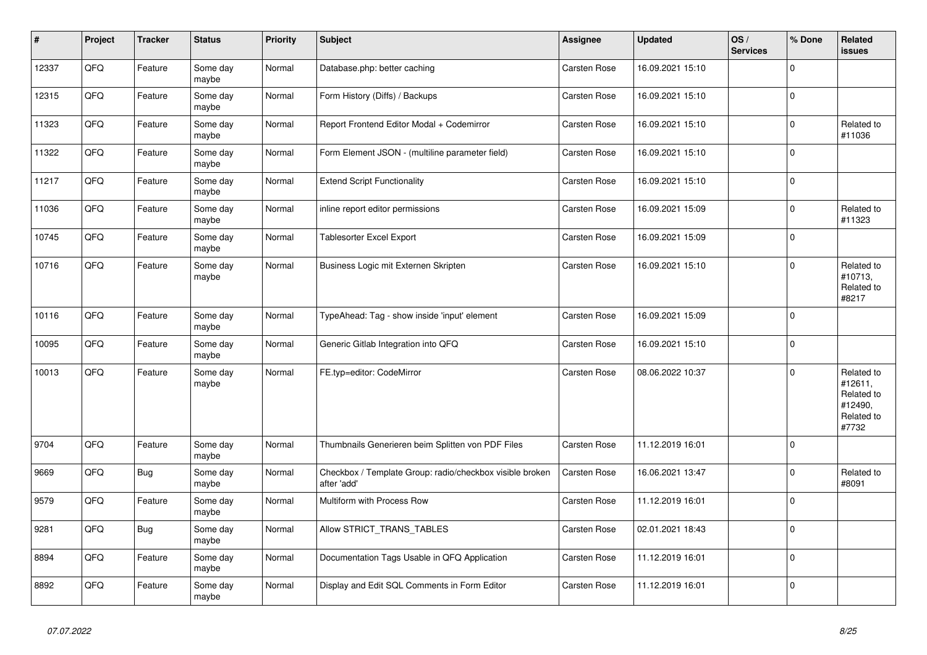| $\vert$ # | <b>Project</b> | <b>Tracker</b> | <b>Status</b>     | <b>Priority</b> | <b>Subject</b>                                                          | Assignee            | <b>Updated</b>   | OS/<br><b>Services</b> | % Done      | Related<br>issues                                                     |
|-----------|----------------|----------------|-------------------|-----------------|-------------------------------------------------------------------------|---------------------|------------------|------------------------|-------------|-----------------------------------------------------------------------|
| 12337     | QFQ            | Feature        | Some day<br>maybe | Normal          | Database.php: better caching                                            | Carsten Rose        | 16.09.2021 15:10 |                        | $\Omega$    |                                                                       |
| 12315     | QFQ            | Feature        | Some day<br>maybe | Normal          | Form History (Diffs) / Backups                                          | Carsten Rose        | 16.09.2021 15:10 |                        | $\Omega$    |                                                                       |
| 11323     | QFQ            | Feature        | Some day<br>maybe | Normal          | Report Frontend Editor Modal + Codemirror                               | Carsten Rose        | 16.09.2021 15:10 |                        | $\Omega$    | Related to<br>#11036                                                  |
| 11322     | QFQ            | Feature        | Some day<br>maybe | Normal          | Form Element JSON - (multiline parameter field)                         | Carsten Rose        | 16.09.2021 15:10 |                        | $\Omega$    |                                                                       |
| 11217     | QFQ            | Feature        | Some day<br>maybe | Normal          | <b>Extend Script Functionality</b>                                      | Carsten Rose        | 16.09.2021 15:10 |                        | $\Omega$    |                                                                       |
| 11036     | QFQ            | Feature        | Some day<br>maybe | Normal          | inline report editor permissions                                        | Carsten Rose        | 16.09.2021 15:09 |                        | $\Omega$    | Related to<br>#11323                                                  |
| 10745     | QFQ            | Feature        | Some day<br>maybe | Normal          | <b>Tablesorter Excel Export</b>                                         | <b>Carsten Rose</b> | 16.09.2021 15:09 |                        | $\Omega$    |                                                                       |
| 10716     | QFQ            | Feature        | Some day<br>maybe | Normal          | Business Logic mit Externen Skripten                                    | Carsten Rose        | 16.09.2021 15:10 |                        | $\Omega$    | Related to<br>#10713,<br>Related to<br>#8217                          |
| 10116     | QFQ            | Feature        | Some day<br>maybe | Normal          | TypeAhead: Tag - show inside 'input' element                            | Carsten Rose        | 16.09.2021 15:09 |                        | $\Omega$    |                                                                       |
| 10095     | QFQ            | Feature        | Some day<br>maybe | Normal          | Generic Gitlab Integration into QFQ                                     | <b>Carsten Rose</b> | 16.09.2021 15:10 |                        | $\Omega$    |                                                                       |
| 10013     | QFQ            | Feature        | Some day<br>maybe | Normal          | FE.typ=editor: CodeMirror                                               | Carsten Rose        | 08.06.2022 10:37 |                        | $\Omega$    | Related to<br>#12611,<br>Related to<br>#12490,<br>Related to<br>#7732 |
| 9704      | QFQ            | Feature        | Some day<br>maybe | Normal          | Thumbnails Generieren beim Splitten von PDF Files                       | Carsten Rose        | 11.12.2019 16:01 |                        | $\Omega$    |                                                                       |
| 9669      | QFQ            | Bug            | Some day<br>maybe | Normal          | Checkbox / Template Group: radio/checkbox visible broken<br>after 'add' | Carsten Rose        | 16.06.2021 13:47 |                        | $\Omega$    | Related to<br>#8091                                                   |
| 9579      | QFQ            | Feature        | Some day<br>maybe | Normal          | Multiform with Process Row                                              | Carsten Rose        | 11.12.2019 16:01 |                        | $\Omega$    |                                                                       |
| 9281      | QFQ            | <b>Bug</b>     | Some day<br>maybe | Normal          | Allow STRICT TRANS TABLES                                               | <b>Carsten Rose</b> | 02.01.2021 18:43 |                        | $\Omega$    |                                                                       |
| 8894      | QFQ            | Feature        | Some day<br>maybe | Normal          | Documentation Tags Usable in QFQ Application                            | Carsten Rose        | 11.12.2019 16:01 |                        | $\mathbf 0$ |                                                                       |
| 8892      | QFQ            | Feature        | Some day<br>maybe | Normal          | Display and Edit SQL Comments in Form Editor                            | Carsten Rose        | 11.12.2019 16:01 |                        | $\Omega$    |                                                                       |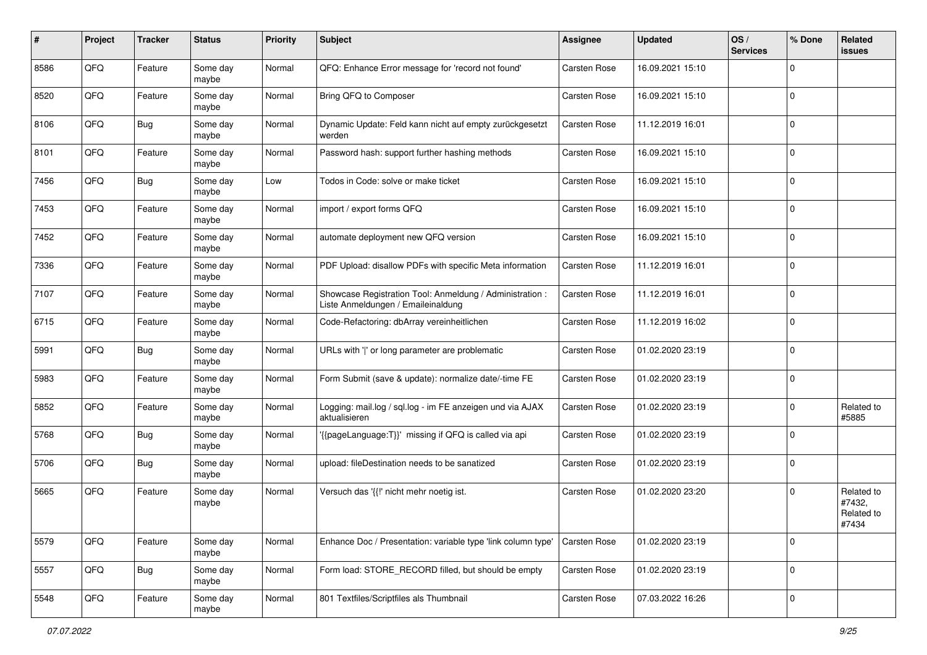| ∦    | Project | <b>Tracker</b> | <b>Status</b>     | <b>Priority</b> | <b>Subject</b>                                                                                 | <b>Assignee</b>     | <b>Updated</b>   | OS/<br><b>Services</b> | % Done      | Related<br>issues                           |
|------|---------|----------------|-------------------|-----------------|------------------------------------------------------------------------------------------------|---------------------|------------------|------------------------|-------------|---------------------------------------------|
| 8586 | QFQ     | Feature        | Some day<br>maybe | Normal          | QFQ: Enhance Error message for 'record not found'                                              | <b>Carsten Rose</b> | 16.09.2021 15:10 |                        | $\mathbf 0$ |                                             |
| 8520 | QFQ     | Feature        | Some day<br>maybe | Normal          | Bring QFQ to Composer                                                                          | <b>Carsten Rose</b> | 16.09.2021 15:10 |                        | $\mathbf 0$ |                                             |
| 8106 | QFQ     | Bug            | Some day<br>maybe | Normal          | Dynamic Update: Feld kann nicht auf empty zurückgesetzt<br>werden                              | <b>Carsten Rose</b> | 11.12.2019 16:01 |                        | $\mathbf 0$ |                                             |
| 8101 | QFQ     | Feature        | Some day<br>maybe | Normal          | Password hash: support further hashing methods                                                 | <b>Carsten Rose</b> | 16.09.2021 15:10 |                        | $\mathbf 0$ |                                             |
| 7456 | QFQ     | Bug            | Some day<br>maybe | Low             | Todos in Code: solve or make ticket                                                            | <b>Carsten Rose</b> | 16.09.2021 15:10 |                        | $\mathbf 0$ |                                             |
| 7453 | QFQ     | Feature        | Some day<br>maybe | Normal          | import / export forms QFQ                                                                      | Carsten Rose        | 16.09.2021 15:10 |                        | $\mathbf 0$ |                                             |
| 7452 | QFQ     | Feature        | Some day<br>maybe | Normal          | automate deployment new QFQ version                                                            | Carsten Rose        | 16.09.2021 15:10 |                        | $\mathbf 0$ |                                             |
| 7336 | QFQ     | Feature        | Some day<br>maybe | Normal          | PDF Upload: disallow PDFs with specific Meta information                                       | <b>Carsten Rose</b> | 11.12.2019 16:01 |                        | 0           |                                             |
| 7107 | QFQ     | Feature        | Some day<br>maybe | Normal          | Showcase Registration Tool: Anmeldung / Administration :<br>Liste Anmeldungen / Emaileinaldung | Carsten Rose        | 11.12.2019 16:01 |                        | $\mathbf 0$ |                                             |
| 6715 | QFQ     | Feature        | Some day<br>maybe | Normal          | Code-Refactoring: dbArray vereinheitlichen                                                     | <b>Carsten Rose</b> | 11.12.2019 16:02 |                        | $\mathbf 0$ |                                             |
| 5991 | QFQ     | <b>Bug</b>     | Some day<br>maybe | Normal          | URLs with ' ' or long parameter are problematic                                                | <b>Carsten Rose</b> | 01.02.2020 23:19 |                        | $\mathbf 0$ |                                             |
| 5983 | QFQ     | Feature        | Some day<br>maybe | Normal          | Form Submit (save & update): normalize date/-time FE                                           | <b>Carsten Rose</b> | 01.02.2020 23:19 |                        | $\mathbf 0$ |                                             |
| 5852 | QFQ     | Feature        | Some day<br>maybe | Normal          | Logging: mail.log / sql.log - im FE anzeigen und via AJAX<br>aktualisieren                     | <b>Carsten Rose</b> | 01.02.2020 23:19 |                        | $\mathbf 0$ | Related to<br>#5885                         |
| 5768 | QFQ     | Bug            | Some day<br>maybe | Normal          | '{{pageLanguage:T}}' missing if QFQ is called via api                                          | Carsten Rose        | 01.02.2020 23:19 |                        | $\mathbf 0$ |                                             |
| 5706 | QFQ     | Bug            | Some day<br>maybe | Normal          | upload: fileDestination needs to be sanatized                                                  | <b>Carsten Rose</b> | 01.02.2020 23:19 |                        | $\mathbf 0$ |                                             |
| 5665 | QFQ     | Feature        | Some day<br>maybe | Normal          | Versuch das '{{!' nicht mehr noetig ist.                                                       | <b>Carsten Rose</b> | 01.02.2020 23:20 |                        | $\mathbf 0$ | Related to<br>#7432,<br>Related to<br>#7434 |
| 5579 | QFQ     | Feature        | Some day<br>maybe | Normal          | Enhance Doc / Presentation: variable type 'link column type'                                   | <b>Carsten Rose</b> | 01.02.2020 23:19 |                        | $\mathbf 0$ |                                             |
| 5557 | QFQ     | <b>Bug</b>     | Some day<br>maybe | Normal          | Form load: STORE_RECORD filled, but should be empty                                            | Carsten Rose        | 01.02.2020 23:19 |                        | $\mathsf 0$ |                                             |
| 5548 | QFQ     | Feature        | Some day<br>maybe | Normal          | 801 Textfiles/Scriptfiles als Thumbnail                                                        | Carsten Rose        | 07.03.2022 16:26 |                        | $\pmb{0}$   |                                             |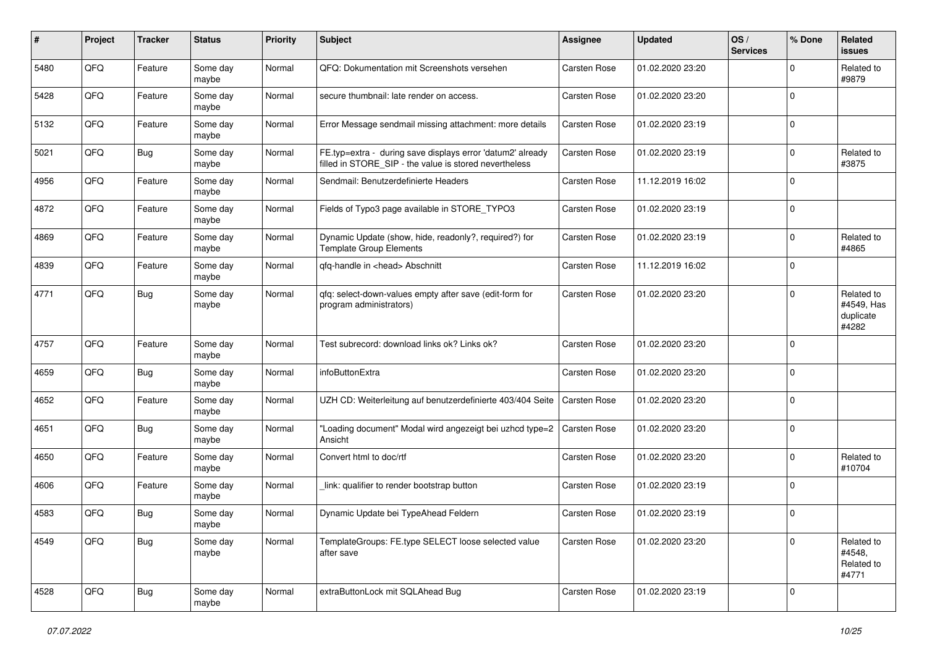| #    | Project | <b>Tracker</b> | <b>Status</b>     | <b>Priority</b> | <b>Subject</b>                                                                                                       | Assignee            | <b>Updated</b>   | OS/<br><b>Services</b> | % Done      | Related<br><b>issues</b>                       |
|------|---------|----------------|-------------------|-----------------|----------------------------------------------------------------------------------------------------------------------|---------------------|------------------|------------------------|-------------|------------------------------------------------|
| 5480 | QFQ     | Feature        | Some day<br>maybe | Normal          | QFQ: Dokumentation mit Screenshots versehen                                                                          | <b>Carsten Rose</b> | 01.02.2020 23:20 |                        | 0           | Related to<br>#9879                            |
| 5428 | QFQ     | Feature        | Some day<br>maybe | Normal          | secure thumbnail: late render on access.                                                                             | Carsten Rose        | 01.02.2020 23:20 |                        | $\mathbf 0$ |                                                |
| 5132 | QFQ     | Feature        | Some day<br>maybe | Normal          | Error Message sendmail missing attachment: more details                                                              | Carsten Rose        | 01.02.2020 23:19 |                        | $\Omega$    |                                                |
| 5021 | QFQ     | <b>Bug</b>     | Some day<br>maybe | Normal          | FE.typ=extra - during save displays error 'datum2' already<br>filled in STORE_SIP - the value is stored nevertheless | <b>Carsten Rose</b> | 01.02.2020 23:19 |                        | $\Omega$    | Related to<br>#3875                            |
| 4956 | QFQ     | Feature        | Some day<br>maybe | Normal          | Sendmail: Benutzerdefinierte Headers                                                                                 | <b>Carsten Rose</b> | 11.12.2019 16:02 |                        | $\Omega$    |                                                |
| 4872 | QFQ     | Feature        | Some day<br>maybe | Normal          | Fields of Typo3 page available in STORE_TYPO3                                                                        | Carsten Rose        | 01.02.2020 23:19 |                        | $\Omega$    |                                                |
| 4869 | QFQ     | Feature        | Some day<br>maybe | Normal          | Dynamic Update (show, hide, readonly?, required?) for<br><b>Template Group Elements</b>                              | Carsten Rose        | 01.02.2020 23:19 |                        | $\Omega$    | Related to<br>#4865                            |
| 4839 | QFQ     | Feature        | Some day<br>maybe | Normal          | qfq-handle in <head> Abschnitt</head>                                                                                | <b>Carsten Rose</b> | 11.12.2019 16:02 |                        | $\mathbf 0$ |                                                |
| 4771 | QFQ     | Bug            | Some day<br>maybe | Normal          | qfq: select-down-values empty after save (edit-form for<br>program administrators)                                   | Carsten Rose        | 01.02.2020 23:20 |                        | $\Omega$    | Related to<br>#4549, Has<br>duplicate<br>#4282 |
| 4757 | QFQ     | Feature        | Some day<br>maybe | Normal          | Test subrecord: download links ok? Links ok?                                                                         | Carsten Rose        | 01.02.2020 23:20 |                        | $\Omega$    |                                                |
| 4659 | QFQ     | <b>Bug</b>     | Some day<br>maybe | Normal          | infoButtonExtra                                                                                                      | Carsten Rose        | 01.02.2020 23:20 |                        | $\mathbf 0$ |                                                |
| 4652 | QFQ     | Feature        | Some day<br>maybe | Normal          | UZH CD: Weiterleitung auf benutzerdefinierte 403/404 Seite                                                           | <b>Carsten Rose</b> | 01.02.2020 23:20 |                        | $\Omega$    |                                                |
| 4651 | QFQ     | Bug            | Some day<br>maybe | Normal          | "Loading document" Modal wird angezeigt bei uzhcd type=2<br>Ansicht                                                  | <b>Carsten Rose</b> | 01.02.2020 23:20 |                        | $\Omega$    |                                                |
| 4650 | QFQ     | Feature        | Some day<br>maybe | Normal          | Convert html to doc/rtf                                                                                              | Carsten Rose        | 01.02.2020 23:20 |                        | $\Omega$    | Related to<br>#10704                           |
| 4606 | QFQ     | Feature        | Some day<br>maybe | Normal          | link: qualifier to render bootstrap button                                                                           | Carsten Rose        | 01.02.2020 23:19 |                        | $\mathbf 0$ |                                                |
| 4583 | QFQ     | Bug            | Some day<br>maybe | Normal          | Dynamic Update bei TypeAhead Feldern                                                                                 | Carsten Rose        | 01.02.2020 23:19 |                        | $\Omega$    |                                                |
| 4549 | QFQ     | <b>Bug</b>     | Some day<br>maybe | Normal          | TemplateGroups: FE.type SELECT loose selected value<br>after save                                                    | Carsten Rose        | 01.02.2020 23:20 |                        | $\Omega$    | Related to<br>#4548,<br>Related to<br>#4771    |
| 4528 | QFG     | Bug            | Some day<br>maybe | Normal          | extraButtonLock mit SQLAhead Bug                                                                                     | Carsten Rose        | 01.02.2020 23:19 |                        | $\mathbf 0$ |                                                |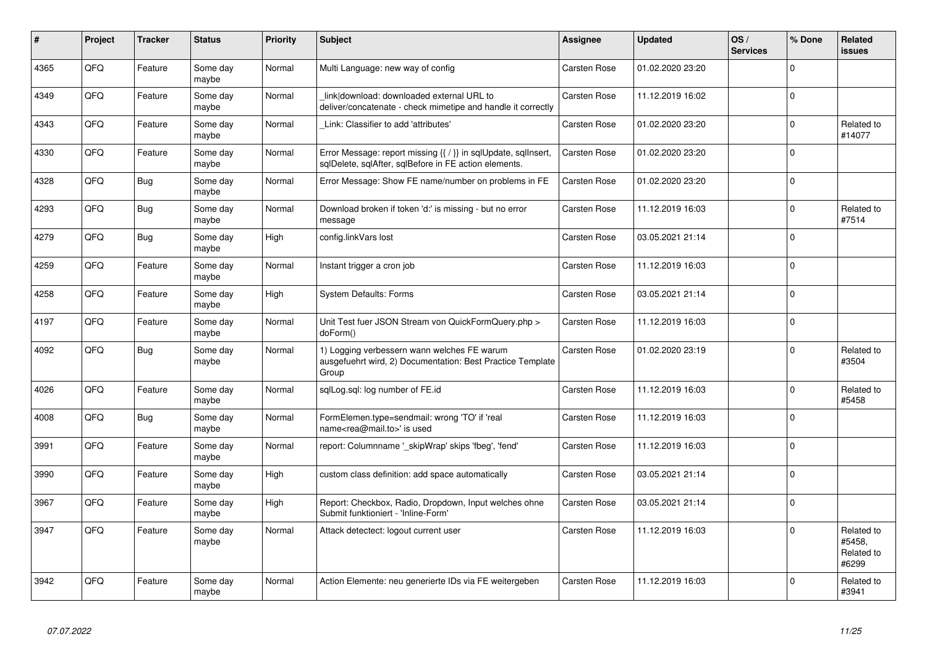| #    | Project | <b>Tracker</b> | <b>Status</b>     | <b>Priority</b> | <b>Subject</b>                                                                                                          | Assignee            | <b>Updated</b>   | OS/<br><b>Services</b> | % Done      | Related<br><b>issues</b>                    |
|------|---------|----------------|-------------------|-----------------|-------------------------------------------------------------------------------------------------------------------------|---------------------|------------------|------------------------|-------------|---------------------------------------------|
| 4365 | QFQ     | Feature        | Some day<br>maybe | Normal          | Multi Language: new way of config                                                                                       | Carsten Rose        | 01.02.2020 23:20 |                        | $\Omega$    |                                             |
| 4349 | QFQ     | Feature        | Some day<br>maybe | Normal          | link download: downloaded external URL to<br>deliver/concatenate - check mimetipe and handle it correctly               | <b>Carsten Rose</b> | 11.12.2019 16:02 |                        | $\Omega$    |                                             |
| 4343 | QFQ     | Feature        | Some day<br>maybe | Normal          | Link: Classifier to add 'attributes'                                                                                    | <b>Carsten Rose</b> | 01.02.2020 23:20 |                        | $\Omega$    | Related to<br>#14077                        |
| 4330 | QFQ     | Feature        | Some day<br>maybe | Normal          | Error Message: report missing {{ / }} in sqlUpdate, sqlInsert,<br>sqlDelete, sqlAfter, sqlBefore in FE action elements. | <b>Carsten Rose</b> | 01.02.2020 23:20 |                        | $\Omega$    |                                             |
| 4328 | QFQ     | Bug            | Some day<br>maybe | Normal          | Error Message: Show FE name/number on problems in FE                                                                    | <b>Carsten Rose</b> | 01.02.2020 23:20 |                        | $\Omega$    |                                             |
| 4293 | QFQ     | Bug            | Some day<br>maybe | Normal          | Download broken if token 'd:' is missing - but no error<br>message                                                      | Carsten Rose        | 11.12.2019 16:03 |                        | $\Omega$    | Related to<br>#7514                         |
| 4279 | QFQ     | <b>Bug</b>     | Some day<br>maybe | High            | config.linkVars lost                                                                                                    | <b>Carsten Rose</b> | 03.05.2021 21:14 |                        | $\Omega$    |                                             |
| 4259 | QFQ     | Feature        | Some day<br>maybe | Normal          | Instant trigger a cron job                                                                                              | Carsten Rose        | 11.12.2019 16:03 |                        | $\Omega$    |                                             |
| 4258 | QFQ     | Feature        | Some day<br>maybe | High            | <b>System Defaults: Forms</b>                                                                                           | Carsten Rose        | 03.05.2021 21:14 |                        | $\mathbf 0$ |                                             |
| 4197 | QFQ     | Feature        | Some day<br>maybe | Normal          | Unit Test fuer JSON Stream von QuickFormQuery.php ><br>doForm()                                                         | Carsten Rose        | 11.12.2019 16:03 |                        | $\Omega$    |                                             |
| 4092 | QFQ     | Bug            | Some day<br>maybe | Normal          | 1) Logging verbessern wann welches FE warum<br>ausgefuehrt wird, 2) Documentation: Best Practice Template<br>Group      | Carsten Rose        | 01.02.2020 23:19 |                        | $\Omega$    | Related to<br>#3504                         |
| 4026 | QFQ     | Feature        | Some day<br>maybe | Normal          | sqlLog.sql: log number of FE.id                                                                                         | <b>Carsten Rose</b> | 11.12.2019 16:03 |                        | $\Omega$    | Related to<br>#5458                         |
| 4008 | QFQ     | Bug            | Some day<br>maybe | Normal          | FormElemen.type=sendmail: wrong 'TO' if 'real<br>name <rea@mail.to>' is used</rea@mail.to>                              | Carsten Rose        | 11.12.2019 16:03 |                        | $\Omega$    |                                             |
| 3991 | QFQ     | Feature        | Some day<br>maybe | Normal          | report: Columnname '_skipWrap' skips 'fbeg', 'fend'                                                                     | <b>Carsten Rose</b> | 11.12.2019 16:03 |                        | $\Omega$    |                                             |
| 3990 | QFQ     | Feature        | Some day<br>maybe | High            | custom class definition: add space automatically                                                                        | Carsten Rose        | 03.05.2021 21:14 |                        | $\Omega$    |                                             |
| 3967 | QFQ     | Feature        | Some day<br>maybe | High            | Report: Checkbox, Radio, Dropdown, Input welches ohne<br>Submit funktioniert - 'Inline-Form'                            | <b>Carsten Rose</b> | 03.05.2021 21:14 |                        | $\Omega$    |                                             |
| 3947 | QFQ     | Feature        | Some day<br>maybe | Normal          | Attack detectect: logout current user                                                                                   | Carsten Rose        | 11.12.2019 16:03 |                        | $\Omega$    | Related to<br>#5458,<br>Related to<br>#6299 |
| 3942 | QFQ     | Feature        | Some dav<br>maybe | Normal          | Action Elemente: neu generierte IDs via FE weitergeben                                                                  | <b>Carsten Rose</b> | 11.12.2019 16:03 |                        | $\Omega$    | Related to<br>#3941                         |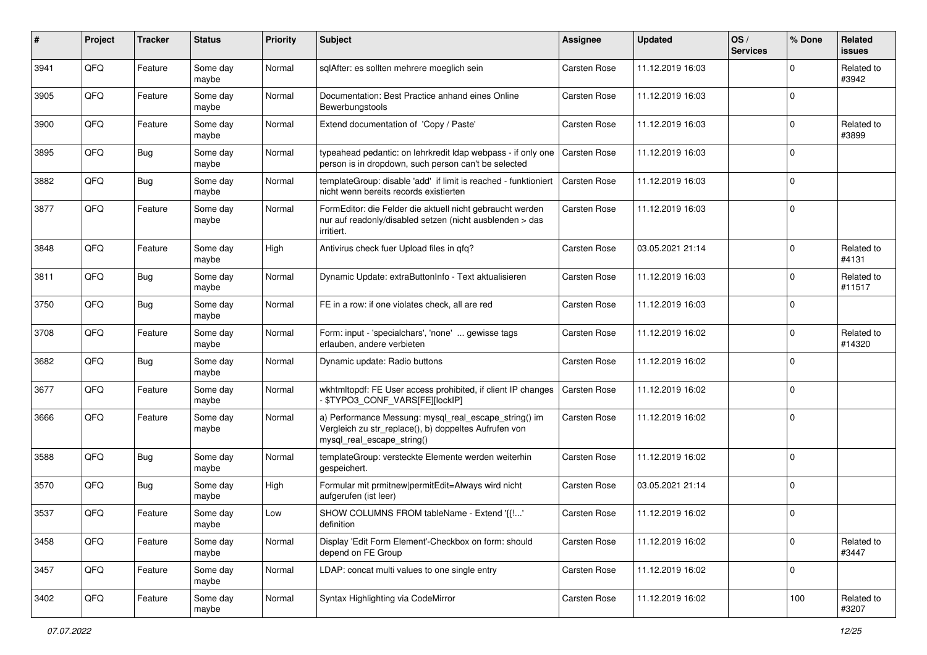| $\pmb{\#}$ | Project | <b>Tracker</b> | <b>Status</b>     | <b>Priority</b> | Subject                                                                                                                                      | <b>Assignee</b>     | <b>Updated</b>   | OS/<br><b>Services</b> | % Done      | Related<br>issues    |
|------------|---------|----------------|-------------------|-----------------|----------------------------------------------------------------------------------------------------------------------------------------------|---------------------|------------------|------------------------|-------------|----------------------|
| 3941       | QFQ     | Feature        | Some day<br>maybe | Normal          | sqlAfter: es sollten mehrere moeglich sein                                                                                                   | <b>Carsten Rose</b> | 11.12.2019 16:03 |                        | 0           | Related to<br>#3942  |
| 3905       | QFQ     | Feature        | Some day<br>maybe | Normal          | Documentation: Best Practice anhand eines Online<br>Bewerbungstools                                                                          | <b>Carsten Rose</b> | 11.12.2019 16:03 |                        | $\mathbf 0$ |                      |
| 3900       | QFQ     | Feature        | Some day<br>maybe | Normal          | Extend documentation of 'Copy / Paste'                                                                                                       | <b>Carsten Rose</b> | 11.12.2019 16:03 |                        | 0           | Related to<br>#3899  |
| 3895       | QFQ     | <b>Bug</b>     | Some day<br>maybe | Normal          | typeahead pedantic: on lehrkredit Idap webpass - if only one<br>person is in dropdown, such person can't be selected                         | <b>Carsten Rose</b> | 11.12.2019 16:03 |                        | $\mathbf 0$ |                      |
| 3882       | QFQ     | Bug            | Some day<br>maybe | Normal          | templateGroup: disable 'add' if limit is reached - funktioniert<br>nicht wenn bereits records existierten                                    | <b>Carsten Rose</b> | 11.12.2019 16:03 |                        | $\mathbf 0$ |                      |
| 3877       | QFQ     | Feature        | Some day<br>maybe | Normal          | FormEditor: die Felder die aktuell nicht gebraucht werden<br>nur auf readonly/disabled setzen (nicht ausblenden > das<br>irritiert.          | <b>Carsten Rose</b> | 11.12.2019 16:03 |                        | $\Omega$    |                      |
| 3848       | QFQ     | Feature        | Some day<br>maybe | High            | Antivirus check fuer Upload files in qfq?                                                                                                    | <b>Carsten Rose</b> | 03.05.2021 21:14 |                        | $\Omega$    | Related to<br>#4131  |
| 3811       | QFQ     | Bug            | Some day<br>maybe | Normal          | Dynamic Update: extraButtonInfo - Text aktualisieren                                                                                         | <b>Carsten Rose</b> | 11.12.2019 16:03 |                        | 0           | Related to<br>#11517 |
| 3750       | QFQ     | Bug            | Some day<br>maybe | Normal          | FE in a row: if one violates check, all are red                                                                                              | <b>Carsten Rose</b> | 11.12.2019 16:03 |                        | $\Omega$    |                      |
| 3708       | QFQ     | Feature        | Some day<br>maybe | Normal          | Form: input - 'specialchars', 'none'  gewisse tags<br>erlauben, andere verbieten                                                             | <b>Carsten Rose</b> | 11.12.2019 16:02 |                        | $\Omega$    | Related to<br>#14320 |
| 3682       | QFQ     | Bug            | Some day<br>maybe | Normal          | Dynamic update: Radio buttons                                                                                                                | <b>Carsten Rose</b> | 11.12.2019 16:02 |                        | $\Omega$    |                      |
| 3677       | QFQ     | Feature        | Some day<br>maybe | Normal          | wkhtmltopdf: FE User access prohibited, if client IP changes<br>\$TYPO3_CONF_VARS[FE][lockIP]                                                | <b>Carsten Rose</b> | 11.12.2019 16:02 |                        | $\Omega$    |                      |
| 3666       | QFQ     | Feature        | Some day<br>maybe | Normal          | a) Performance Messung: mysql_real_escape_string() im<br>Vergleich zu str_replace(), b) doppeltes Aufrufen von<br>mysql_real_escape_string() | <b>Carsten Rose</b> | 11.12.2019 16:02 |                        | $\Omega$    |                      |
| 3588       | QFQ     | Bug            | Some day<br>maybe | Normal          | templateGroup: versteckte Elemente werden weiterhin<br>gespeichert.                                                                          | <b>Carsten Rose</b> | 11.12.2019 16:02 |                        | $\Omega$    |                      |
| 3570       | QFQ     | <b>Bug</b>     | Some day<br>maybe | High            | Formular mit prmitnew permitEdit=Always wird nicht<br>aufgerufen (ist leer)                                                                  | Carsten Rose        | 03.05.2021 21:14 |                        | $\Omega$    |                      |
| 3537       | QFQ     | Feature        | Some day<br>maybe | Low             | SHOW COLUMNS FROM tableName - Extend '{{!'<br>definition                                                                                     | Carsten Rose        | 11.12.2019 16:02 |                        | $\Omega$    |                      |
| 3458       | QFQ     | Feature        | Some day<br>maybe | Normal          | Display 'Edit Form Element'-Checkbox on form: should<br>depend on FE Group                                                                   | <b>Carsten Rose</b> | 11.12.2019 16:02 |                        | $\mathbf 0$ | Related to<br>#3447  |
| 3457       | QFQ     | Feature        | Some day<br>maybe | Normal          | LDAP: concat multi values to one single entry                                                                                                | <b>Carsten Rose</b> | 11.12.2019 16:02 |                        | $\mathbf 0$ |                      |
| 3402       | QFG     | Feature        | Some day<br>maybe | Normal          | Syntax Highlighting via CodeMirror                                                                                                           | Carsten Rose        | 11.12.2019 16:02 |                        | 100         | Related to<br>#3207  |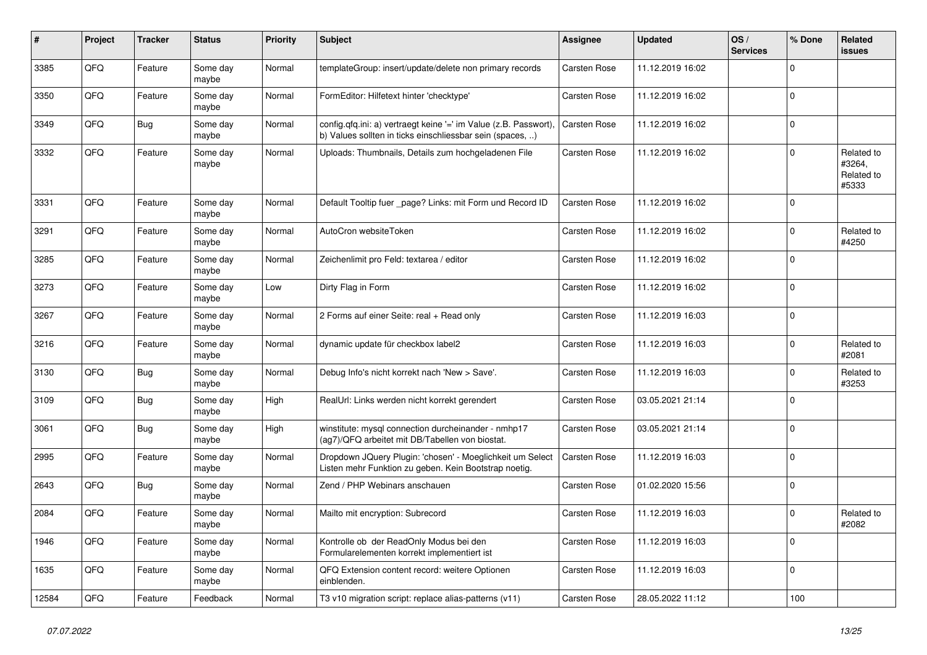| $\vert$ # | Project | <b>Tracker</b> | <b>Status</b>     | <b>Priority</b> | <b>Subject</b>                                                                                                                | Assignee            | <b>Updated</b>   | OS/<br><b>Services</b> | % Done      | Related<br><b>issues</b>                    |
|-----------|---------|----------------|-------------------|-----------------|-------------------------------------------------------------------------------------------------------------------------------|---------------------|------------------|------------------------|-------------|---------------------------------------------|
| 3385      | QFQ     | Feature        | Some day<br>maybe | Normal          | templateGroup: insert/update/delete non primary records                                                                       | Carsten Rose        | 11.12.2019 16:02 |                        | $\Omega$    |                                             |
| 3350      | QFQ     | Feature        | Some day<br>maybe | Normal          | FormEditor: Hilfetext hinter 'checktype'                                                                                      | <b>Carsten Rose</b> | 11.12.2019 16:02 |                        | $\Omega$    |                                             |
| 3349      | QFQ     | Bug            | Some day<br>maybe | Normal          | config.qfq.ini: a) vertraegt keine '=' im Value (z.B. Passwort),<br>b) Values sollten in ticks einschliessbar sein (spaces, ) | <b>Carsten Rose</b> | 11.12.2019 16:02 |                        | $\Omega$    |                                             |
| 3332      | QFQ     | Feature        | Some day<br>maybe | Normal          | Uploads: Thumbnails, Details zum hochgeladenen File                                                                           | Carsten Rose        | 11.12.2019 16:02 |                        | $\Omega$    | Related to<br>#3264,<br>Related to<br>#5333 |
| 3331      | QFQ     | Feature        | Some day<br>maybe | Normal          | Default Tooltip fuer _page? Links: mit Form und Record ID                                                                     | <b>Carsten Rose</b> | 11.12.2019 16:02 |                        | $\Omega$    |                                             |
| 3291      | QFQ     | Feature        | Some day<br>maybe | Normal          | AutoCron websiteToken                                                                                                         | Carsten Rose        | 11.12.2019 16:02 |                        | $\Omega$    | Related to<br>#4250                         |
| 3285      | QFQ     | Feature        | Some day<br>maybe | Normal          | Zeichenlimit pro Feld: textarea / editor                                                                                      | <b>Carsten Rose</b> | 11.12.2019 16:02 |                        | $\mathbf 0$ |                                             |
| 3273      | QFQ     | Feature        | Some day<br>maybe | Low             | Dirty Flag in Form                                                                                                            | <b>Carsten Rose</b> | 11.12.2019 16:02 |                        | $\Omega$    |                                             |
| 3267      | QFQ     | Feature        | Some day<br>maybe | Normal          | 2 Forms auf einer Seite: real + Read only                                                                                     | Carsten Rose        | 11.12.2019 16:03 |                        | $\Omega$    |                                             |
| 3216      | QFQ     | Feature        | Some day<br>maybe | Normal          | dynamic update für checkbox label2                                                                                            | <b>Carsten Rose</b> | 11.12.2019 16:03 |                        | $\Omega$    | Related to<br>#2081                         |
| 3130      | QFQ     | Bug            | Some day<br>maybe | Normal          | Debug Info's nicht korrekt nach 'New > Save'.                                                                                 | Carsten Rose        | 11.12.2019 16:03 |                        | $\Omega$    | Related to<br>#3253                         |
| 3109      | QFQ     | Bug            | Some day<br>maybe | High            | RealUrl: Links werden nicht korrekt gerendert                                                                                 | <b>Carsten Rose</b> | 03.05.2021 21:14 |                        | $\Omega$    |                                             |
| 3061      | QFQ     | Bug            | Some day<br>maybe | High            | winstitute: mysql connection durcheinander - nmhp17<br>(ag7)/QFQ arbeitet mit DB/Tabellen von biostat.                        | Carsten Rose        | 03.05.2021 21:14 |                        | $\mathbf 0$ |                                             |
| 2995      | QFQ     | Feature        | Some day<br>maybe | Normal          | Dropdown JQuery Plugin: 'chosen' - Moeglichkeit um Select<br>Listen mehr Funktion zu geben. Kein Bootstrap noetig.            | <b>Carsten Rose</b> | 11.12.2019 16:03 |                        | $\Omega$    |                                             |
| 2643      | QFQ     | <b>Bug</b>     | Some day<br>maybe | Normal          | Zend / PHP Webinars anschauen                                                                                                 | Carsten Rose        | 01.02.2020 15:56 |                        | $\Omega$    |                                             |
| 2084      | QFQ     | Feature        | Some day<br>maybe | Normal          | Mailto mit encryption: Subrecord                                                                                              | Carsten Rose        | 11.12.2019 16:03 |                        | $\Omega$    | Related to<br>#2082                         |
| 1946      | QFQ     | Feature        | Some day<br>maybe | Normal          | Kontrolle ob der ReadOnly Modus bei den<br>Formularelementen korrekt implementiert ist                                        | Carsten Rose        | 11.12.2019 16:03 |                        | $\mathbf 0$ |                                             |
| 1635      | QFQ     | Feature        | Some day<br>maybe | Normal          | QFQ Extension content record: weitere Optionen<br>einblenden.                                                                 | <b>Carsten Rose</b> | 11.12.2019 16:03 |                        | $\Omega$    |                                             |
| 12584     | QFQ     | Feature        | Feedback          | Normal          | T3 v10 migration script: replace alias-patterns (v11)                                                                         | Carsten Rose        | 28.05.2022 11:12 |                        | 100         |                                             |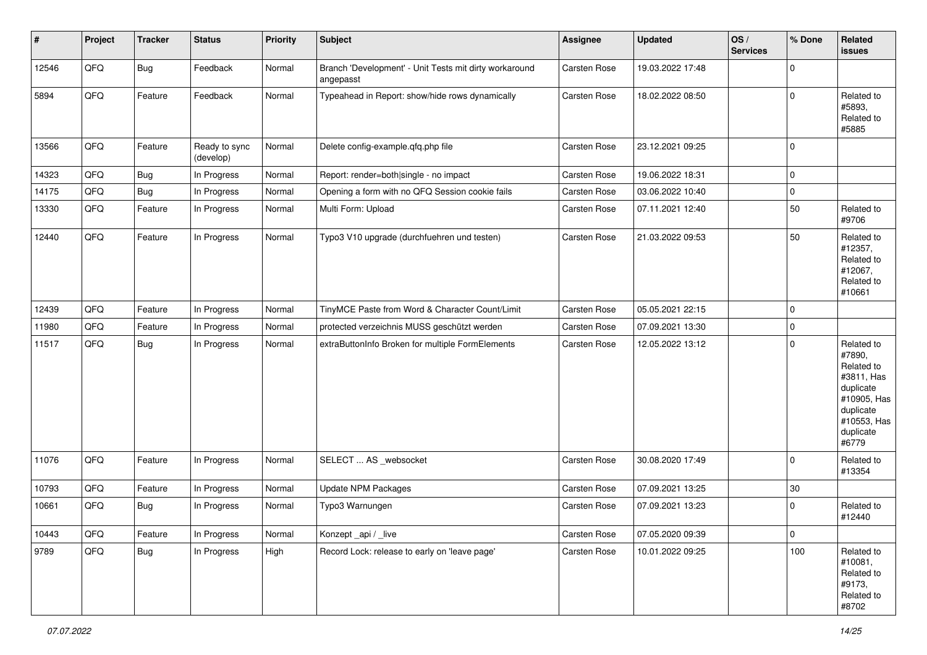| #     | Project | <b>Tracker</b> | <b>Status</b>              | <b>Priority</b> | Subject                                                             | Assignee            | <b>Updated</b>   | OS/<br><b>Services</b> | % Done         | Related<br><b>issues</b>                                                                                                       |
|-------|---------|----------------|----------------------------|-----------------|---------------------------------------------------------------------|---------------------|------------------|------------------------|----------------|--------------------------------------------------------------------------------------------------------------------------------|
| 12546 | QFQ     | Bug            | Feedback                   | Normal          | Branch 'Development' - Unit Tests mit dirty workaround<br>angepasst | Carsten Rose        | 19.03.2022 17:48 |                        | $\Omega$       |                                                                                                                                |
| 5894  | QFQ     | Feature        | Feedback                   | Normal          | Typeahead in Report: show/hide rows dynamically                     | Carsten Rose        | 18.02.2022 08:50 |                        | $\mathbf 0$    | Related to<br>#5893,<br>Related to<br>#5885                                                                                    |
| 13566 | QFQ     | Feature        | Ready to sync<br>(develop) | Normal          | Delete config-example.qfq.php file                                  | Carsten Rose        | 23.12.2021 09:25 |                        | $\mathbf 0$    |                                                                                                                                |
| 14323 | QFQ     | Bug            | In Progress                | Normal          | Report: render=both single - no impact                              | <b>Carsten Rose</b> | 19.06.2022 18:31 |                        | $\mathbf 0$    |                                                                                                                                |
| 14175 | QFQ     | Bug            | In Progress                | Normal          | Opening a form with no QFQ Session cookie fails                     | Carsten Rose        | 03.06.2022 10:40 |                        | 0              |                                                                                                                                |
| 13330 | QFQ     | Feature        | In Progress                | Normal          | Multi Form: Upload                                                  | Carsten Rose        | 07.11.2021 12:40 |                        | 50             | Related to<br>#9706                                                                                                            |
| 12440 | QFQ     | Feature        | In Progress                | Normal          | Typo3 V10 upgrade (durchfuehren und testen)                         | Carsten Rose        | 21.03.2022 09:53 |                        | 50             | Related to<br>#12357,<br>Related to<br>#12067,<br>Related to<br>#10661                                                         |
| 12439 | QFQ     | Feature        | In Progress                | Normal          | TinyMCE Paste from Word & Character Count/Limit                     | Carsten Rose        | 05.05.2021 22:15 |                        | $\mathbf 0$    |                                                                                                                                |
| 11980 | QFQ     | Feature        | In Progress                | Normal          | protected verzeichnis MUSS geschützt werden                         | Carsten Rose        | 07.09.2021 13:30 |                        | $\mathbf 0$    |                                                                                                                                |
| 11517 | QFQ     | Bug            | In Progress                | Normal          | extraButtonInfo Broken for multiple FormElements                    | <b>Carsten Rose</b> | 12.05.2022 13:12 |                        | $\mathbf 0$    | Related to<br>#7890,<br>Related to<br>#3811, Has<br>duplicate<br>#10905, Has<br>duplicate<br>#10553, Has<br>duplicate<br>#6779 |
| 11076 | QFQ     | Feature        | In Progress                | Normal          | SELECT  AS _websocket                                               | Carsten Rose        | 30.08.2020 17:49 |                        | $\Omega$       | Related to<br>#13354                                                                                                           |
| 10793 | QFQ     | Feature        | In Progress                | Normal          | <b>Update NPM Packages</b>                                          | Carsten Rose        | 07.09.2021 13:25 |                        | 30             |                                                                                                                                |
| 10661 | QFQ     | <b>Bug</b>     | In Progress                | Normal          | Typo3 Warnungen                                                     | Carsten Rose        | 07.09.2021 13:23 |                        | $\mathbf 0$    | Related to<br>#12440                                                                                                           |
| 10443 | QFQ     | Feature        | In Progress                | Normal          | Konzept_api / _live                                                 | Carsten Rose        | 07.05.2020 09:39 |                        | $\overline{0}$ |                                                                                                                                |
| 9789  | QFQ     | Bug            | In Progress                | High            | Record Lock: release to early on 'leave page'                       | Carsten Rose        | 10.01.2022 09:25 |                        | 100            | Related to<br>#10081,<br>Related to<br>#9173,<br>Related to<br>#8702                                                           |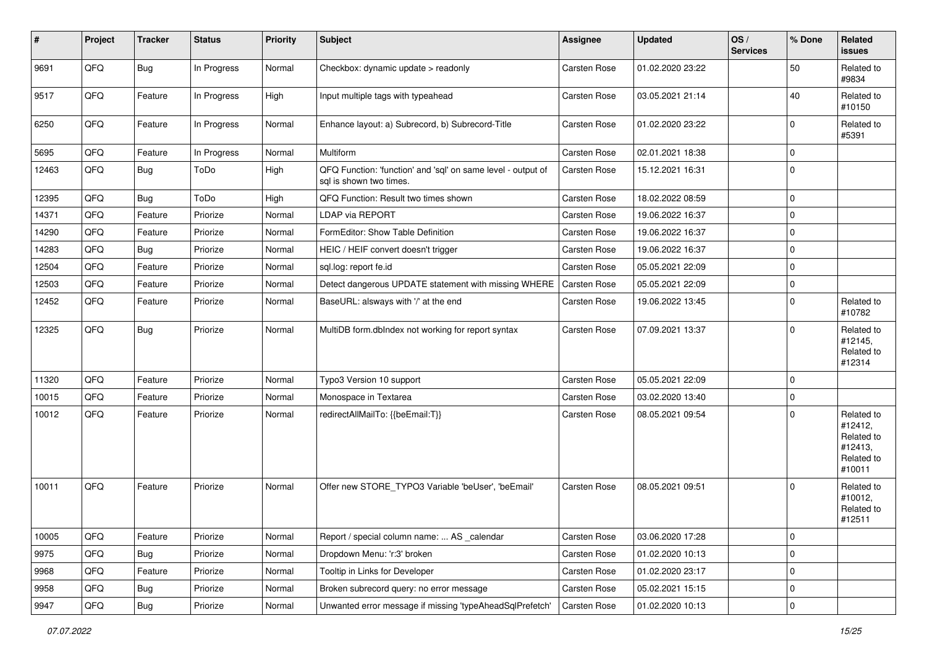| #     | Project | <b>Tracker</b> | <b>Status</b> | <b>Priority</b> | Subject                                                                                 | <b>Assignee</b>     | <b>Updated</b>   | OS/<br><b>Services</b> | % Done      | Related<br>issues                                                      |
|-------|---------|----------------|---------------|-----------------|-----------------------------------------------------------------------------------------|---------------------|------------------|------------------------|-------------|------------------------------------------------------------------------|
| 9691  | QFQ     | <b>Bug</b>     | In Progress   | Normal          | Checkbox: dynamic update > readonly                                                     | Carsten Rose        | 01.02.2020 23:22 |                        | 50          | Related to<br>#9834                                                    |
| 9517  | QFQ     | Feature        | In Progress   | High            | Input multiple tags with typeahead                                                      | Carsten Rose        | 03.05.2021 21:14 |                        | 40          | Related to<br>#10150                                                   |
| 6250  | QFQ     | Feature        | In Progress   | Normal          | Enhance layout: a) Subrecord, b) Subrecord-Title                                        | Carsten Rose        | 01.02.2020 23:22 |                        | 0           | Related to<br>#5391                                                    |
| 5695  | QFQ     | Feature        | In Progress   | Normal          | Multiform                                                                               | <b>Carsten Rose</b> | 02.01.2021 18:38 |                        | $\mathbf 0$ |                                                                        |
| 12463 | QFQ     | Bug            | ToDo          | High            | QFQ Function: 'function' and 'sql' on same level - output of<br>sal is shown two times. | Carsten Rose        | 15.12.2021 16:31 |                        | $\Omega$    |                                                                        |
| 12395 | QFQ     | Bug            | ToDo          | High            | QFQ Function: Result two times shown                                                    | Carsten Rose        | 18.02.2022 08:59 |                        | $\Omega$    |                                                                        |
| 14371 | QFQ     | Feature        | Priorize      | Normal          | LDAP via REPORT                                                                         | Carsten Rose        | 19.06.2022 16:37 |                        | $\Omega$    |                                                                        |
| 14290 | QFQ     | Feature        | Priorize      | Normal          | FormEditor: Show Table Definition                                                       | Carsten Rose        | 19.06.2022 16:37 |                        | $\Omega$    |                                                                        |
| 14283 | QFQ     | <b>Bug</b>     | Priorize      | Normal          | HEIC / HEIF convert doesn't trigger                                                     | <b>Carsten Rose</b> | 19.06.2022 16:37 |                        | 0           |                                                                        |
| 12504 | QFQ     | Feature        | Priorize      | Normal          | sql.log: report fe.id                                                                   | <b>Carsten Rose</b> | 05.05.2021 22:09 |                        | $\Omega$    |                                                                        |
| 12503 | QFQ     | Feature        | Priorize      | Normal          | Detect dangerous UPDATE statement with missing WHERE                                    | Carsten Rose        | 05.05.2021 22:09 |                        | $\mathbf 0$ |                                                                        |
| 12452 | QFQ     | Feature        | Priorize      | Normal          | BaseURL: alsways with '/' at the end                                                    | Carsten Rose        | 19.06.2022 13:45 |                        | $\Omega$    | Related to<br>#10782                                                   |
| 12325 | QFQ     | <b>Bug</b>     | Priorize      | Normal          | MultiDB form.dblndex not working for report syntax                                      | <b>Carsten Rose</b> | 07.09.2021 13:37 |                        | $\Omega$    | Related to<br>#12145,<br>Related to<br>#12314                          |
| 11320 | QFQ     | Feature        | Priorize      | Normal          | Typo3 Version 10 support                                                                | Carsten Rose        | 05.05.2021 22:09 |                        | $\Omega$    |                                                                        |
| 10015 | QFQ     | Feature        | Priorize      | Normal          | Monospace in Textarea                                                                   | <b>Carsten Rose</b> | 03.02.2020 13:40 |                        | 0           |                                                                        |
| 10012 | QFQ     | Feature        | Priorize      | Normal          | redirectAllMailTo: {{beEmail:T}}                                                        | Carsten Rose        | 08.05.2021 09:54 |                        | 0           | Related to<br>#12412,<br>Related to<br>#12413,<br>Related to<br>#10011 |
| 10011 | QFQ     | Feature        | Priorize      | Normal          | Offer new STORE_TYPO3 Variable 'beUser', 'beEmail'                                      | <b>Carsten Rose</b> | 08.05.2021 09:51 |                        | $\Omega$    | Related to<br>#10012,<br>Related to<br>#12511                          |
| 10005 | QFQ     | Feature        | Priorize      | Normal          | Report / special column name:  AS _calendar                                             | Carsten Rose        | 03.06.2020 17:28 |                        | $\mathbf 0$ |                                                                        |
| 9975  | QFQ     | <b>Bug</b>     | Priorize      | Normal          | Dropdown Menu: 'r:3' broken                                                             | Carsten Rose        | 01.02.2020 10:13 |                        | 0           |                                                                        |
| 9968  | QFQ     | Feature        | Priorize      | Normal          | Tooltip in Links for Developer                                                          | <b>Carsten Rose</b> | 01.02.2020 23:17 |                        | $\mathbf 0$ |                                                                        |
| 9958  | QFQ     | <b>Bug</b>     | Priorize      | Normal          | Broken subrecord query: no error message                                                | Carsten Rose        | 05.02.2021 15:15 |                        | 0           |                                                                        |
| 9947  | QFG     | Bug            | Priorize      | Normal          | Unwanted error message if missing 'typeAheadSqlPrefetch'                                | <b>Carsten Rose</b> | 01.02.2020 10:13 |                        | 0           |                                                                        |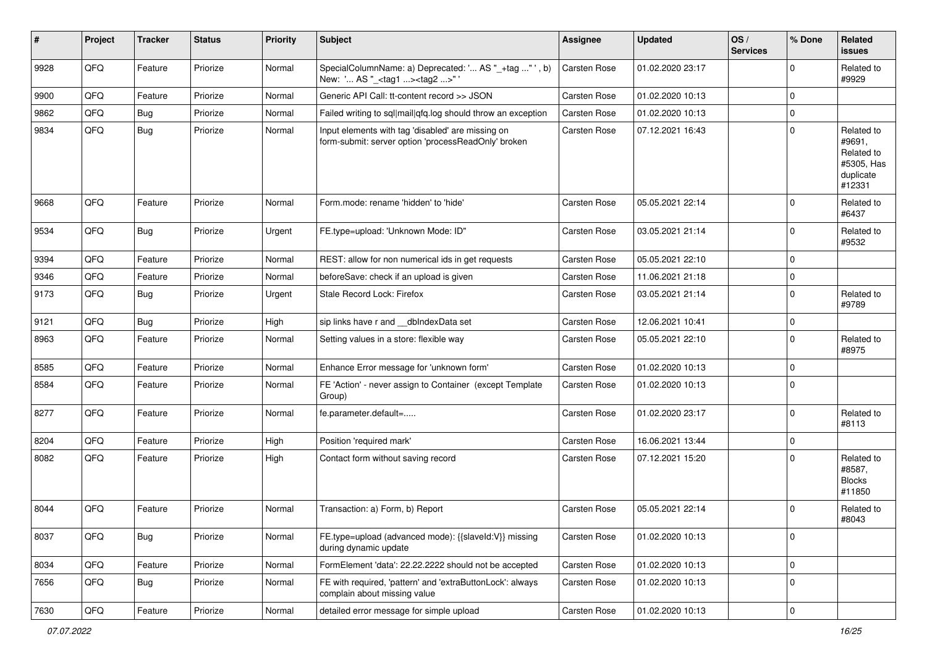| ∦    | Project | <b>Tracker</b> | <b>Status</b> | Priority | Subject                                                                                                  | Assignee            | <b>Updated</b>   | OS/<br><b>Services</b> | % Done      | Related<br><b>issues</b>                                                |
|------|---------|----------------|---------------|----------|----------------------------------------------------------------------------------------------------------|---------------------|------------------|------------------------|-------------|-------------------------------------------------------------------------|
| 9928 | QFQ     | Feature        | Priorize      | Normal   | SpecialColumnName: a) Deprecated: ' AS "_+tag " ', b)<br>New: ' AS "_ <tag1><tag2>"'</tag2></tag1>       | <b>Carsten Rose</b> | 01.02.2020 23:17 |                        | $\Omega$    | Related to<br>#9929                                                     |
| 9900 | QFQ     | Feature        | Priorize      | Normal   | Generic API Call: tt-content record >> JSON                                                              | Carsten Rose        | 01.02.2020 10:13 |                        | $\Omega$    |                                                                         |
| 9862 | QFQ     | Bug            | Priorize      | Normal   | Failed writing to sql mail qfq.log should throw an exception                                             | <b>Carsten Rose</b> | 01.02.2020 10:13 |                        | $\mathbf 0$ |                                                                         |
| 9834 | QFQ     | Bug            | Priorize      | Normal   | Input elements with tag 'disabled' are missing on<br>form-submit: server option 'processReadOnly' broken | Carsten Rose        | 07.12.2021 16:43 |                        | $\Omega$    | Related to<br>#9691,<br>Related to<br>#5305, Has<br>duplicate<br>#12331 |
| 9668 | QFQ     | Feature        | Priorize      | Normal   | Form.mode: rename 'hidden' to 'hide'                                                                     | Carsten Rose        | 05.05.2021 22:14 |                        | $\Omega$    | Related to<br>#6437                                                     |
| 9534 | QFQ     | Bug            | Priorize      | Urgent   | FE.type=upload: 'Unknown Mode: ID"                                                                       | Carsten Rose        | 03.05.2021 21:14 |                        | $\Omega$    | Related to<br>#9532                                                     |
| 9394 | QFQ     | Feature        | Priorize      | Normal   | REST: allow for non numerical ids in get requests                                                        | Carsten Rose        | 05.05.2021 22:10 |                        | $\Omega$    |                                                                         |
| 9346 | QFQ     | Feature        | Priorize      | Normal   | beforeSave: check if an upload is given                                                                  | Carsten Rose        | 11.06.2021 21:18 |                        | $\mathbf 0$ |                                                                         |
| 9173 | QFQ     | Bug            | Priorize      | Urgent   | Stale Record Lock: Firefox                                                                               | Carsten Rose        | 03.05.2021 21:14 |                        | $\mathbf 0$ | Related to<br>#9789                                                     |
| 9121 | QFQ     | Bug            | Priorize      | High     | sip links have r and __dbIndexData set                                                                   | Carsten Rose        | 12.06.2021 10:41 |                        | $\mathbf 0$ |                                                                         |
| 8963 | QFQ     | Feature        | Priorize      | Normal   | Setting values in a store: flexible way                                                                  | Carsten Rose        | 05.05.2021 22:10 |                        | $\Omega$    | Related to<br>#8975                                                     |
| 8585 | QFQ     | Feature        | Priorize      | Normal   | Enhance Error message for 'unknown form'                                                                 | Carsten Rose        | 01.02.2020 10:13 |                        | $\Omega$    |                                                                         |
| 8584 | QFQ     | Feature        | Priorize      | Normal   | FE 'Action' - never assign to Container (except Template<br>Group)                                       | Carsten Rose        | 01.02.2020 10:13 |                        | 0           |                                                                         |
| 8277 | QFQ     | Feature        | Priorize      | Normal   | fe.parameter.default=                                                                                    | Carsten Rose        | 01.02.2020 23:17 |                        | $\Omega$    | Related to<br>#8113                                                     |
| 8204 | QFQ     | Feature        | Priorize      | High     | Position 'required mark'                                                                                 | Carsten Rose        | 16.06.2021 13:44 |                        | $\mathbf 0$ |                                                                         |
| 8082 | QFQ     | Feature        | Priorize      | High     | Contact form without saving record                                                                       | Carsten Rose        | 07.12.2021 15:20 |                        | $\mathbf 0$ | Related to<br>#8587,<br><b>Blocks</b><br>#11850                         |
| 8044 | QFQ     | Feature        | Priorize      | Normal   | Transaction: a) Form, b) Report                                                                          | Carsten Rose        | 05.05.2021 22:14 |                        | $\Omega$    | Related to<br>#8043                                                     |
| 8037 | QFQ     | <b>Bug</b>     | Priorize      | Normal   | FE.type=upload (advanced mode): {{slaveld:V}} missing<br>during dynamic update                           | Carsten Rose        | 01.02.2020 10:13 |                        | $\mathbf 0$ |                                                                         |
| 8034 | QFQ     | Feature        | Priorize      | Normal   | FormElement 'data': 22.22.2222 should not be accepted                                                    | Carsten Rose        | 01.02.2020 10:13 |                        | $\mathbf 0$ |                                                                         |
| 7656 | QFQ     | Bug            | Priorize      | Normal   | FE with required, 'pattern' and 'extraButtonLock': always<br>complain about missing value                | Carsten Rose        | 01.02.2020 10:13 |                        | 0           |                                                                         |
| 7630 | QFQ     | Feature        | Priorize      | Normal   | detailed error message for simple upload                                                                 | Carsten Rose        | 01.02.2020 10:13 |                        | 0           |                                                                         |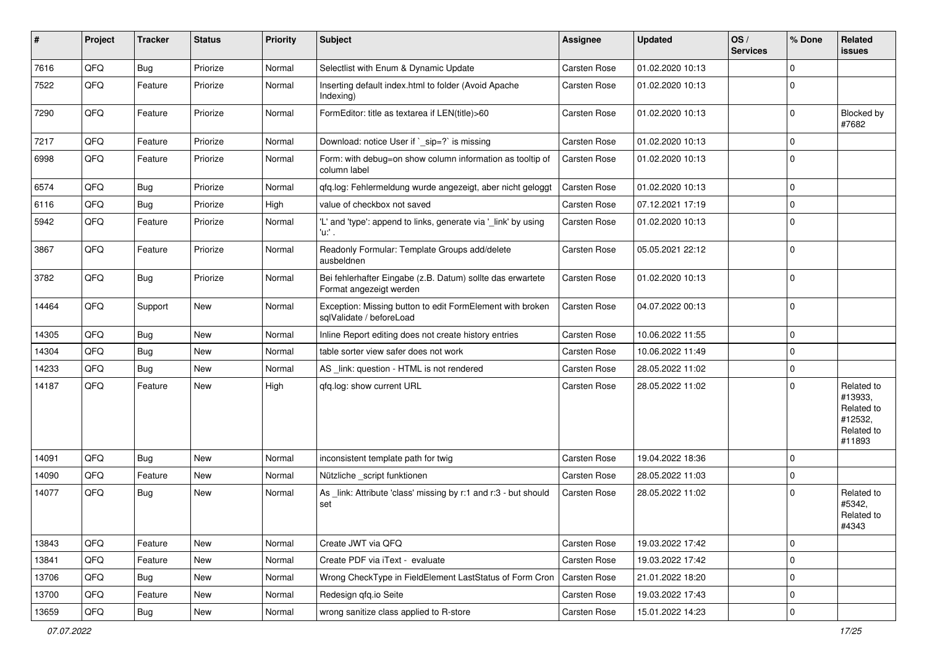| ∦     | Project | <b>Tracker</b> | <b>Status</b> | <b>Priority</b> | Subject                                                                               | <b>Assignee</b>     | <b>Updated</b>   | OS/<br><b>Services</b> | % Done      | Related<br>issues                                                      |
|-------|---------|----------------|---------------|-----------------|---------------------------------------------------------------------------------------|---------------------|------------------|------------------------|-------------|------------------------------------------------------------------------|
| 7616  | QFQ     | Bug            | Priorize      | Normal          | Selectlist with Enum & Dynamic Update                                                 | Carsten Rose        | 01.02.2020 10:13 |                        | $\Omega$    |                                                                        |
| 7522  | QFQ     | Feature        | Priorize      | Normal          | Inserting default index.html to folder (Avoid Apache<br>Indexing)                     | <b>Carsten Rose</b> | 01.02.2020 10:13 |                        | $\Omega$    |                                                                        |
| 7290  | QFQ     | Feature        | Priorize      | Normal          | FormEditor: title as textarea if LEN(title)>60                                        | <b>Carsten Rose</b> | 01.02.2020 10:13 |                        | $\mathbf 0$ | Blocked by<br>#7682                                                    |
| 7217  | QFQ     | Feature        | Priorize      | Normal          | Download: notice User if `_sip=?` is missing                                          | Carsten Rose        | 01.02.2020 10:13 |                        | $\mathbf 0$ |                                                                        |
| 6998  | QFQ     | Feature        | Priorize      | Normal          | Form: with debug=on show column information as tooltip of<br>column label             | <b>Carsten Rose</b> | 01.02.2020 10:13 |                        | 0           |                                                                        |
| 6574  | QFQ     | Bug            | Priorize      | Normal          | qfq.log: Fehlermeldung wurde angezeigt, aber nicht geloggt                            | Carsten Rose        | 01.02.2020 10:13 |                        | 0           |                                                                        |
| 6116  | QFQ     | Bug            | Priorize      | High            | value of checkbox not saved                                                           | Carsten Rose        | 07.12.2021 17:19 |                        | 0           |                                                                        |
| 5942  | QFQ     | Feature        | Priorize      | Normal          | 'L' and 'type': append to links, generate via '_link' by using<br>'u:' .              | <b>Carsten Rose</b> | 01.02.2020 10:13 |                        | $\Omega$    |                                                                        |
| 3867  | QFQ     | Feature        | Priorize      | Normal          | Readonly Formular: Template Groups add/delete<br>ausbeldnen                           | Carsten Rose        | 05.05.2021 22:12 |                        | $\Omega$    |                                                                        |
| 3782  | QFQ     | Bug            | Priorize      | Normal          | Bei fehlerhafter Eingabe (z.B. Datum) sollte das erwartete<br>Format angezeigt werden | Carsten Rose        | 01.02.2020 10:13 |                        | $\Omega$    |                                                                        |
| 14464 | QFQ     | Support        | New           | Normal          | Exception: Missing button to edit FormElement with broken<br>sqlValidate / beforeLoad | Carsten Rose        | 04.07.2022 00:13 |                        | 0           |                                                                        |
| 14305 | QFQ     | Bug            | New           | Normal          | Inline Report editing does not create history entries                                 | Carsten Rose        | 10.06.2022 11:55 |                        | $\Omega$    |                                                                        |
| 14304 | QFQ     | Bug            | <b>New</b>    | Normal          | table sorter view safer does not work                                                 | <b>Carsten Rose</b> | 10.06.2022 11:49 |                        | $\Omega$    |                                                                        |
| 14233 | QFQ     | Bug            | New           | Normal          | AS link: question - HTML is not rendered                                              | Carsten Rose        | 28.05.2022 11:02 |                        | $\Omega$    |                                                                        |
| 14187 | QFQ     | Feature        | New           | High            | gfg.log: show current URL                                                             | <b>Carsten Rose</b> | 28.05.2022 11:02 |                        | $\Omega$    | Related to<br>#13933,<br>Related to<br>#12532,<br>Related to<br>#11893 |
| 14091 | QFQ     | <b>Bug</b>     | <b>New</b>    | Normal          | inconsistent template path for twig                                                   | Carsten Rose        | 19.04.2022 18:36 |                        | $\Omega$    |                                                                        |
| 14090 | QFQ     | Feature        | New           | Normal          | Nützliche _script funktionen                                                          | <b>Carsten Rose</b> | 28.05.2022 11:03 |                        | 0           |                                                                        |
| 14077 | QFQ     | Bug            | <b>New</b>    | Normal          | As _link: Attribute 'class' missing by r:1 and r:3 - but should<br>set                | <b>Carsten Rose</b> | 28.05.2022 11:02 |                        | $\Omega$    | Related to<br>#5342,<br>Related to<br>#4343                            |
| 13843 | QFQ     | Feature        | <b>New</b>    | Normal          | Create JWT via QFQ                                                                    | <b>Carsten Rose</b> | 19.03.2022 17:42 |                        | 0           |                                                                        |
| 13841 | QFQ     | Feature        | New           | Normal          | Create PDF via iText - evaluate                                                       | Carsten Rose        | 19.03.2022 17:42 |                        | 0           |                                                                        |
| 13706 | QFQ     | Bug            | New           | Normal          | Wrong CheckType in FieldElement LastStatus of Form Cron                               | <b>Carsten Rose</b> | 21.01.2022 18:20 |                        | 0           |                                                                        |
| 13700 | QFQ     | Feature        | New           | Normal          | Redesign qfq.io Seite                                                                 | Carsten Rose        | 19.03.2022 17:43 |                        | 0           |                                                                        |
| 13659 | QFQ     | Bug            | New           | Normal          | wrong sanitize class applied to R-store                                               | Carsten Rose        | 15.01.2022 14:23 |                        | $\mathbf 0$ |                                                                        |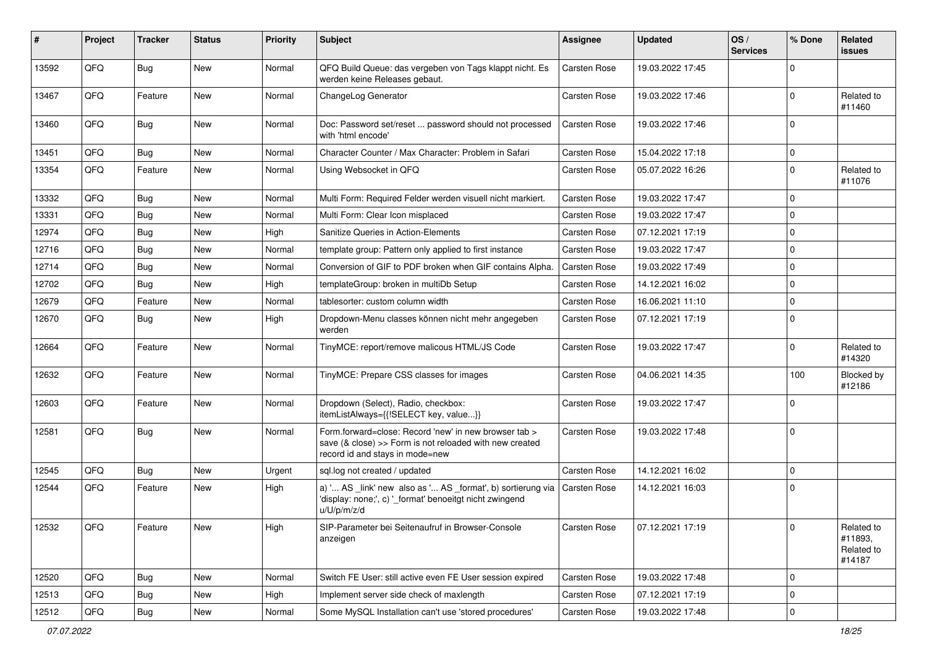| #     | Project | <b>Tracker</b> | <b>Status</b> | <b>Priority</b> | <b>Subject</b>                                                                                                                                      | <b>Assignee</b>     | <b>Updated</b>   | OS/<br><b>Services</b> | % Done         | Related<br>issues                             |
|-------|---------|----------------|---------------|-----------------|-----------------------------------------------------------------------------------------------------------------------------------------------------|---------------------|------------------|------------------------|----------------|-----------------------------------------------|
| 13592 | QFQ     | <b>Bug</b>     | <b>New</b>    | Normal          | QFQ Build Queue: das vergeben von Tags klappt nicht. Es<br>werden keine Releases gebaut.                                                            | <b>Carsten Rose</b> | 19.03.2022 17:45 |                        | $\Omega$       |                                               |
| 13467 | QFQ     | Feature        | New           | Normal          | ChangeLog Generator                                                                                                                                 | <b>Carsten Rose</b> | 19.03.2022 17:46 |                        | $\Omega$       | Related to<br>#11460                          |
| 13460 | QFQ     | Bug            | <b>New</b>    | Normal          | Doc: Password set/reset  password should not processed<br>with 'html encode'                                                                        | <b>Carsten Rose</b> | 19.03.2022 17:46 |                        | $\Omega$       |                                               |
| 13451 | QFQ     | Bug            | New           | Normal          | Character Counter / Max Character: Problem in Safari                                                                                                | <b>Carsten Rose</b> | 15.04.2022 17:18 |                        | $\mathbf 0$    |                                               |
| 13354 | QFQ     | Feature        | New           | Normal          | Using Websocket in QFQ                                                                                                                              | <b>Carsten Rose</b> | 05.07.2022 16:26 |                        | $\Omega$       | Related to<br>#11076                          |
| 13332 | QFQ     | Bug            | New           | Normal          | Multi Form: Required Felder werden visuell nicht markiert.                                                                                          | <b>Carsten Rose</b> | 19.03.2022 17:47 |                        | $\Omega$       |                                               |
| 13331 | QFQ     | Bug            | New           | Normal          | Multi Form: Clear Icon misplaced                                                                                                                    | <b>Carsten Rose</b> | 19.03.2022 17:47 |                        | $\Omega$       |                                               |
| 12974 | QFQ     | Bug            | <b>New</b>    | High            | Sanitize Queries in Action-Elements                                                                                                                 | <b>Carsten Rose</b> | 07.12.2021 17:19 |                        | $\Omega$       |                                               |
| 12716 | QFQ     | Bug            | <b>New</b>    | Normal          | template group: Pattern only applied to first instance                                                                                              | <b>Carsten Rose</b> | 19.03.2022 17:47 |                        | $\mathbf 0$    |                                               |
| 12714 | QFQ     | Bug            | New           | Normal          | Conversion of GIF to PDF broken when GIF contains Alpha.                                                                                            | <b>Carsten Rose</b> | 19.03.2022 17:49 |                        | $\Omega$       |                                               |
| 12702 | QFQ     | Bug            | New           | High            | templateGroup: broken in multiDb Setup                                                                                                              | <b>Carsten Rose</b> | 14.12.2021 16:02 |                        | $\Omega$       |                                               |
| 12679 | QFQ     | Feature        | New           | Normal          | tablesorter: custom column width                                                                                                                    | <b>Carsten Rose</b> | 16.06.2021 11:10 |                        | $\Omega$       |                                               |
| 12670 | QFQ     | Bug            | New           | High            | Dropdown-Menu classes können nicht mehr angegeben<br>werden                                                                                         | <b>Carsten Rose</b> | 07.12.2021 17:19 |                        | $\Omega$       |                                               |
| 12664 | QFQ     | Feature        | New           | Normal          | TinyMCE: report/remove malicous HTML/JS Code                                                                                                        | <b>Carsten Rose</b> | 19.03.2022 17:47 |                        | $\Omega$       | Related to<br>#14320                          |
| 12632 | QFQ     | Feature        | New           | Normal          | TinyMCE: Prepare CSS classes for images                                                                                                             | <b>Carsten Rose</b> | 04.06.2021 14:35 |                        | 100            | Blocked by<br>#12186                          |
| 12603 | QFQ     | Feature        | New           | Normal          | Dropdown (Select), Radio, checkbox:<br>itemListAlways={{!SELECT key, value}}                                                                        | <b>Carsten Rose</b> | 19.03.2022 17:47 |                        | $\Omega$       |                                               |
| 12581 | QFQ     | Bug            | New           | Normal          | Form.forward=close: Record 'new' in new browser tab ><br>save (& close) >> Form is not reloaded with new created<br>record id and stays in mode=new | <b>Carsten Rose</b> | 19.03.2022 17:48 |                        | $\overline{0}$ |                                               |
| 12545 | QFQ     | Bug            | New           | Urgent          | sql.log not created / updated                                                                                                                       | <b>Carsten Rose</b> | 14.12.2021 16:02 |                        | $\Omega$       |                                               |
| 12544 | QFQ     | Feature        | New           | High            | a) ' AS _link' new also as ' AS _format', b) sortierung via<br>'display: none;', c) '_format' benoeitgt nicht zwingend<br>u/U/p/m/z/d               | <b>Carsten Rose</b> | 14.12.2021 16:03 |                        | 0 I            |                                               |
| 12532 | QFQ     | Feature        | New           | High            | SIP-Parameter bei Seitenaufruf in Browser-Console<br>anzeigen                                                                                       | Carsten Rose        | 07.12.2021 17:19 |                        | 0              | Related to<br>#11893,<br>Related to<br>#14187 |
| 12520 | QFQ     | <b>Bug</b>     | New           | Normal          | Switch FE User: still active even FE User session expired                                                                                           | Carsten Rose        | 19.03.2022 17:48 |                        | 0              |                                               |
| 12513 | QFQ     | Bug            | New           | High            | Implement server side check of maxlength                                                                                                            | <b>Carsten Rose</b> | 07.12.2021 17:19 |                        | 0              |                                               |
| 12512 | QFQ     | Bug            | New           | Normal          | Some MySQL Installation can't use 'stored procedures'                                                                                               | Carsten Rose        | 19.03.2022 17:48 |                        | $\mathbf 0$    |                                               |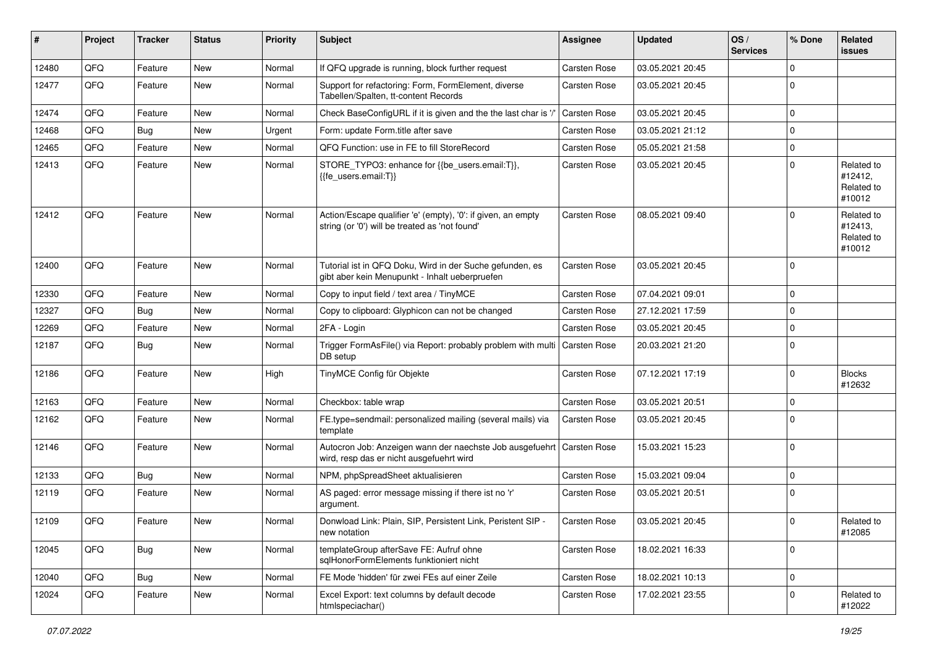| #     | Project | <b>Tracker</b> | <b>Status</b> | <b>Priority</b> | <b>Subject</b>                                                                                                      | <b>Assignee</b>     | <b>Updated</b>   | OS/<br><b>Services</b> | % Done      | Related<br><b>issues</b>                      |
|-------|---------|----------------|---------------|-----------------|---------------------------------------------------------------------------------------------------------------------|---------------------|------------------|------------------------|-------------|-----------------------------------------------|
| 12480 | QFQ     | Feature        | New           | Normal          | If QFQ upgrade is running, block further request                                                                    | Carsten Rose        | 03.05.2021 20:45 |                        | $\Omega$    |                                               |
| 12477 | QFQ     | Feature        | New           | Normal          | Support for refactoring: Form, FormElement, diverse<br>Tabellen/Spalten, tt-content Records                         | <b>Carsten Rose</b> | 03.05.2021 20:45 |                        | $\Omega$    |                                               |
| 12474 | QFQ     | Feature        | New           | Normal          | Check BaseConfigURL if it is given and the the last char is '/                                                      | <b>Carsten Rose</b> | 03.05.2021 20:45 |                        | $\mathbf 0$ |                                               |
| 12468 | QFQ     | Bug            | New           | Urgent          | Form: update Form.title after save                                                                                  | <b>Carsten Rose</b> | 03.05.2021 21:12 |                        | 0           |                                               |
| 12465 | QFQ     | Feature        | New           | Normal          | QFQ Function: use in FE to fill StoreRecord                                                                         | <b>Carsten Rose</b> | 05.05.2021 21:58 |                        | $\mathbf 0$ |                                               |
| 12413 | QFQ     | Feature        | New           | Normal          | STORE_TYPO3: enhance for {{be_users.email:T}},<br>{{fe users.email:T}}                                              | <b>Carsten Rose</b> | 03.05.2021 20:45 |                        | $\Omega$    | Related to<br>#12412,<br>Related to<br>#10012 |
| 12412 | QFQ     | Feature        | New           | Normal          | Action/Escape qualifier 'e' (empty), '0': if given, an empty<br>string (or '0') will be treated as 'not found'      | <b>Carsten Rose</b> | 08.05.2021 09:40 |                        |             | Related to<br>#12413,<br>Related to<br>#10012 |
| 12400 | QFQ     | Feature        | New           | Normal          | Tutorial ist in QFQ Doku, Wird in der Suche gefunden, es<br>gibt aber kein Menupunkt - Inhalt ueberpruefen          | <b>Carsten Rose</b> | 03.05.2021 20:45 |                        | $\mathbf 0$ |                                               |
| 12330 | QFQ     | Feature        | New           | Normal          | Copy to input field / text area / TinyMCE                                                                           | <b>Carsten Rose</b> | 07.04.2021 09:01 |                        | $\mathbf 0$ |                                               |
| 12327 | QFQ     | Bug            | New           | Normal          | Copy to clipboard: Glyphicon can not be changed                                                                     | <b>Carsten Rose</b> | 27.12.2021 17:59 |                        | $\Omega$    |                                               |
| 12269 | QFQ     | Feature        | New           | Normal          | 2FA - Login                                                                                                         | <b>Carsten Rose</b> | 03.05.2021 20:45 |                        | $\Omega$    |                                               |
| 12187 | QFQ     | Bug            | New           | Normal          | Trigger FormAsFile() via Report: probably problem with multi   Carsten Rose<br>DB setup                             |                     | 20.03.2021 21:20 |                        | $\mathbf 0$ |                                               |
| 12186 | QFQ     | Feature        | New           | High            | TinyMCE Config für Objekte                                                                                          | <b>Carsten Rose</b> | 07.12.2021 17:19 |                        | $\Omega$    | <b>Blocks</b><br>#12632                       |
| 12163 | QFQ     | Feature        | New           | Normal          | Checkbox: table wrap                                                                                                | <b>Carsten Rose</b> | 03.05.2021 20:51 |                        | $\mathbf 0$ |                                               |
| 12162 | QFQ     | Feature        | New           | Normal          | FE.type=sendmail: personalized mailing (several mails) via<br>template                                              | Carsten Rose        | 03.05.2021 20:45 |                        | $\Omega$    |                                               |
| 12146 | QFQ     | Feature        | New           | Normal          | Autocron Job: Anzeigen wann der naechste Job ausgefuehrt   Carsten Rose<br>wird, resp das er nicht ausgefuehrt wird |                     | 15.03.2021 15:23 |                        | $\Omega$    |                                               |
| 12133 | QFQ     | Bug            | <b>New</b>    | Normal          | NPM, phpSpreadSheet aktualisieren                                                                                   | <b>Carsten Rose</b> | 15.03.2021 09:04 |                        | $\mathbf 0$ |                                               |
| 12119 | QFQ     | Feature        | New           | Normal          | AS paged: error message missing if there ist no 'r'<br>argument.                                                    | <b>Carsten Rose</b> | 03.05.2021 20:51 |                        | $\Omega$    |                                               |
| 12109 | QFQ     | Feature        | New           | Normal          | Donwload Link: Plain, SIP, Persistent Link, Peristent SIP -<br>new notation                                         | Carsten Rose        | 03.05.2021 20:45 |                        | $\mathbf 0$ | Related to<br>#12085                          |
| 12045 | QFQ     | <b>Bug</b>     | New           | Normal          | templateGroup afterSave FE: Aufruf ohne<br>sglHonorFormElements funktioniert nicht                                  | <b>Carsten Rose</b> | 18.02.2021 16:33 |                        | $\mathbf 0$ |                                               |
| 12040 | QFQ     | <b>Bug</b>     | New           | Normal          | FE Mode 'hidden' für zwei FEs auf einer Zeile                                                                       | Carsten Rose        | 18.02.2021 10:13 |                        | $\mathbf 0$ |                                               |
| 12024 | QFQ     | Feature        | New           | Normal          | Excel Export: text columns by default decode<br>htmlspeciachar()                                                    | Carsten Rose        | 17.02.2021 23:55 |                        | $\mathbf 0$ | Related to<br>#12022                          |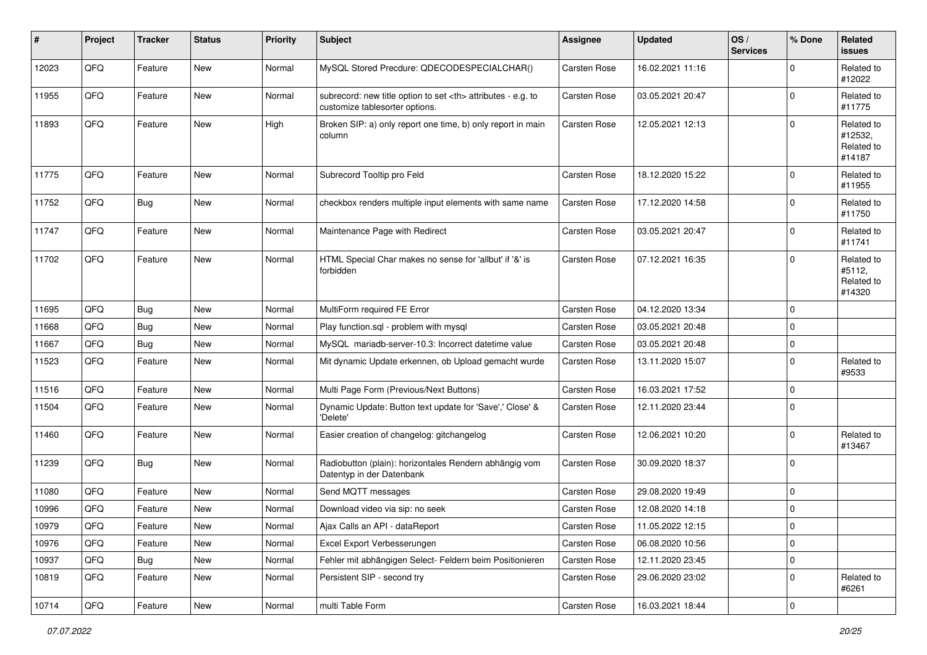| #     | Project | <b>Tracker</b> | <b>Status</b> | <b>Priority</b> | Subject                                                                                              | Assignee                                               | <b>Updated</b>   | OS/<br><b>Services</b> | % Done      | Related<br><b>issues</b>                      |                      |
|-------|---------|----------------|---------------|-----------------|------------------------------------------------------------------------------------------------------|--------------------------------------------------------|------------------|------------------------|-------------|-----------------------------------------------|----------------------|
| 12023 | QFQ     | Feature        | <b>New</b>    | Normal          | MySQL Stored Precdure: QDECODESPECIALCHAR()                                                          | Carsten Rose                                           | 16.02.2021 11:16 |                        | $\mathbf 0$ | Related to<br>#12022                          |                      |
| 11955 | QFQ     | Feature        | New           | Normal          | subrecord: new title option to set <th> attributes - e.g. to<br/>customize tablesorter options.</th> | attributes - e.g. to<br>customize tablesorter options. | Carsten Rose     | 03.05.2021 20:47       |             | $\mathbf 0$                                   | Related to<br>#11775 |
| 11893 | QFQ     | Feature        | <b>New</b>    | High            | Broken SIP: a) only report one time, b) only report in main<br>column                                | Carsten Rose                                           | 12.05.2021 12:13 |                        | $\mathbf 0$ | Related to<br>#12532,<br>Related to<br>#14187 |                      |
| 11775 | QFQ     | Feature        | <b>New</b>    | Normal          | Subrecord Tooltip pro Feld                                                                           | Carsten Rose                                           | 18.12.2020 15:22 |                        | $\mathbf 0$ | Related to<br>#11955                          |                      |
| 11752 | QFQ     | Bug            | <b>New</b>    | Normal          | checkbox renders multiple input elements with same name                                              | Carsten Rose                                           | 17.12.2020 14:58 |                        | $\mathbf 0$ | Related to<br>#11750                          |                      |
| 11747 | QFQ     | Feature        | <b>New</b>    | Normal          | Maintenance Page with Redirect                                                                       | Carsten Rose                                           | 03.05.2021 20:47 |                        | $\mathbf 0$ | Related to<br>#11741                          |                      |
| 11702 | QFQ     | Feature        | <b>New</b>    | Normal          | HTML Special Char makes no sense for 'allbut' if '&' is<br>forbidden                                 | Carsten Rose                                           | 07.12.2021 16:35 |                        | $\mathbf 0$ | Related to<br>#5112,<br>Related to<br>#14320  |                      |
| 11695 | QFQ     | Bug            | <b>New</b>    | Normal          | MultiForm required FE Error                                                                          | <b>Carsten Rose</b>                                    | 04.12.2020 13:34 |                        | $\mathbf 0$ |                                               |                      |
| 11668 | QFQ     | Bug            | <b>New</b>    | Normal          | Play function.sql - problem with mysql                                                               | Carsten Rose                                           | 03.05.2021 20:48 |                        | $\mathbf 0$ |                                               |                      |
| 11667 | QFQ     | Bug            | <b>New</b>    | Normal          | MySQL mariadb-server-10.3: Incorrect datetime value                                                  | Carsten Rose                                           | 03.05.2021 20:48 |                        | $\mathbf 0$ |                                               |                      |
| 11523 | QFQ     | Feature        | New           | Normal          | Mit dynamic Update erkennen, ob Upload gemacht wurde                                                 | Carsten Rose                                           | 13.11.2020 15:07 |                        | $\mathbf 0$ | Related to<br>#9533                           |                      |
| 11516 | QFQ     | Feature        | <b>New</b>    | Normal          | Multi Page Form (Previous/Next Buttons)                                                              | Carsten Rose                                           | 16.03.2021 17:52 |                        | $\mathbf 0$ |                                               |                      |
| 11504 | QFQ     | Feature        | New           | Normal          | Dynamic Update: Button text update for 'Save',' Close' &<br>'Delete'                                 | Carsten Rose                                           | 12.11.2020 23:44 |                        | $\mathbf 0$ |                                               |                      |
| 11460 | QFQ     | Feature        | <b>New</b>    | Normal          | Easier creation of changelog: gitchangelog                                                           | <b>Carsten Rose</b>                                    | 12.06.2021 10:20 |                        | $\mathbf 0$ | Related to<br>#13467                          |                      |
| 11239 | QFQ     | Bug            | <b>New</b>    | Normal          | Radiobutton (plain): horizontales Rendern abhängig vom<br>Datentyp in der Datenbank                  | Carsten Rose                                           | 30.09.2020 18:37 |                        | $\mathbf 0$ |                                               |                      |
| 11080 | QFQ     | Feature        | <b>New</b>    | Normal          | Send MQTT messages                                                                                   | Carsten Rose                                           | 29.08.2020 19:49 |                        | $\mathbf 0$ |                                               |                      |
| 10996 | QFQ     | Feature        | New           | Normal          | Download video via sip: no seek                                                                      | Carsten Rose                                           | 12.08.2020 14:18 |                        | $\mathsf 0$ |                                               |                      |
| 10979 | QFQ     | Feature        | New           | Normal          | Ajax Calls an API - dataReport                                                                       | Carsten Rose                                           | 11.05.2022 12:15 |                        | $\pmb{0}$   |                                               |                      |
| 10976 | QFQ     | Feature        | New           | Normal          | Excel Export Verbesserungen                                                                          | Carsten Rose                                           | 06.08.2020 10:56 |                        | $\mathbf 0$ |                                               |                      |
| 10937 | QFQ     | <b>Bug</b>     | New           | Normal          | Fehler mit abhängigen Select- Feldern beim Positionieren                                             | Carsten Rose                                           | 12.11.2020 23:45 |                        | $\mathsf 0$ |                                               |                      |
| 10819 | QFQ     | Feature        | New           | Normal          | Persistent SIP - second try                                                                          | Carsten Rose                                           | 29.06.2020 23:02 |                        | $\mathbf 0$ | Related to<br>#6261                           |                      |
| 10714 | QFG     | Feature        | New           | Normal          | multi Table Form                                                                                     | Carsten Rose                                           | 16.03.2021 18:44 |                        | $\mathsf 0$ |                                               |                      |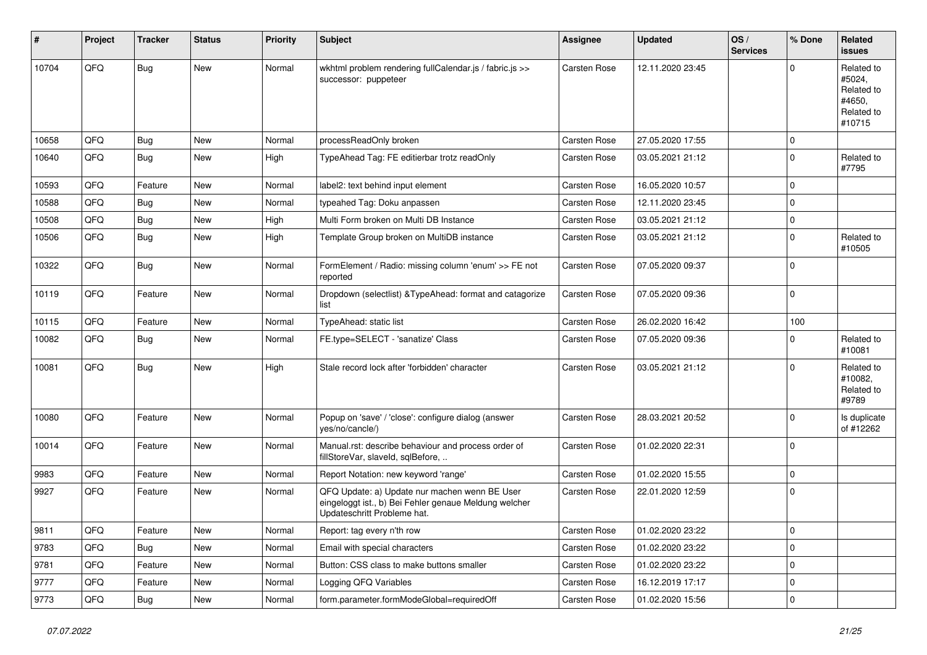| #     | Project | <b>Tracker</b> | <b>Status</b> | <b>Priority</b> | <b>Subject</b>                                                                                                                        | Assignee            | <b>Updated</b>   | OS/<br><b>Services</b> | % Done      | Related<br><b>issues</b>                                             |
|-------|---------|----------------|---------------|-----------------|---------------------------------------------------------------------------------------------------------------------------------------|---------------------|------------------|------------------------|-------------|----------------------------------------------------------------------|
| 10704 | QFQ     | <b>Bug</b>     | New           | Normal          | wkhtml problem rendering fullCalendar.js / fabric.js >><br>successor: puppeteer                                                       | <b>Carsten Rose</b> | 12.11.2020 23:45 |                        | $\Omega$    | Related to<br>#5024,<br>Related to<br>#4650,<br>Related to<br>#10715 |
| 10658 | QFQ     | Bug            | New           | Normal          | processReadOnly broken                                                                                                                | <b>Carsten Rose</b> | 27.05.2020 17:55 |                        | $\mathbf 0$ |                                                                      |
| 10640 | QFQ     | Bug            | New           | High            | TypeAhead Tag: FE editierbar trotz readOnly                                                                                           | Carsten Rose        | 03.05.2021 21:12 |                        | $\Omega$    | Related to<br>#7795                                                  |
| 10593 | QFQ     | Feature        | New           | Normal          | label2: text behind input element                                                                                                     | <b>Carsten Rose</b> | 16.05.2020 10:57 |                        | $\mathbf 0$ |                                                                      |
| 10588 | QFQ     | Bug            | New           | Normal          | typeahed Tag: Doku anpassen                                                                                                           | <b>Carsten Rose</b> | 12.11.2020 23:45 |                        | $\Omega$    |                                                                      |
| 10508 | QFQ     | Bug            | New           | High            | Multi Form broken on Multi DB Instance                                                                                                | <b>Carsten Rose</b> | 03.05.2021 21:12 |                        | 0           |                                                                      |
| 10506 | QFQ     | Bug            | New           | High            | Template Group broken on MultiDB instance                                                                                             | <b>Carsten Rose</b> | 03.05.2021 21:12 |                        | $\mathbf 0$ | Related to<br>#10505                                                 |
| 10322 | QFQ     | <b>Bug</b>     | New           | Normal          | FormElement / Radio: missing column 'enum' >> FE not<br>reported                                                                      | Carsten Rose        | 07.05.2020 09:37 |                        | $\Omega$    |                                                                      |
| 10119 | QFQ     | Feature        | New           | Normal          | Dropdown (selectlist) & TypeAhead: format and catagorize<br>list                                                                      | <b>Carsten Rose</b> | 07.05.2020 09:36 |                        | l 0         |                                                                      |
| 10115 | QFQ     | Feature        | New           | Normal          | TypeAhead: static list                                                                                                                | Carsten Rose        | 26.02.2020 16:42 |                        | 100         |                                                                      |
| 10082 | QFQ     | Bug            | New           | Normal          | FE.type=SELECT - 'sanatize' Class                                                                                                     | <b>Carsten Rose</b> | 07.05.2020 09:36 |                        | $\Omega$    | Related to<br>#10081                                                 |
| 10081 | QFQ     | Bug            | New           | High            | Stale record lock after 'forbidden' character                                                                                         | <b>Carsten Rose</b> | 03.05.2021 21:12 |                        | $\Omega$    | Related to<br>#10082,<br>Related to<br>#9789                         |
| 10080 | QFQ     | Feature        | New           | Normal          | Popup on 'save' / 'close': configure dialog (answer<br>yes/no/cancle/)                                                                | <b>Carsten Rose</b> | 28.03.2021 20:52 |                        | $\Omega$    | Is duplicate<br>of #12262                                            |
| 10014 | QFQ     | Feature        | New           | Normal          | Manual.rst: describe behaviour and process order of<br>fillStoreVar, slaveId, sqlBefore,                                              | Carsten Rose        | 01.02.2020 22:31 |                        | l O         |                                                                      |
| 9983  | QFQ     | Feature        | New           | Normal          | Report Notation: new keyword 'range'                                                                                                  | <b>Carsten Rose</b> | 01.02.2020 15:55 |                        | $\Omega$    |                                                                      |
| 9927  | QFQ     | Feature        | New           | Normal          | QFQ Update: a) Update nur machen wenn BE User<br>eingeloggt ist., b) Bei Fehler genaue Meldung welcher<br>Updateschritt Probleme hat. | Carsten Rose        | 22.01.2020 12:59 |                        | l 0         |                                                                      |
| 9811  | QFQ     | Feature        | New           | Normal          | Report: tag every n'th row                                                                                                            | Carsten Rose        | 01.02.2020 23:22 |                        | 0           |                                                                      |
| 9783  | QFQ     | Bug            | New           | Normal          | Email with special characters                                                                                                         | Carsten Rose        | 01.02.2020 23:22 |                        | 0           |                                                                      |
| 9781  | QFQ     | Feature        | New           | Normal          | Button: CSS class to make buttons smaller                                                                                             | Carsten Rose        | 01.02.2020 23:22 |                        | $\mathbf 0$ |                                                                      |
| 9777  | QFQ     | Feature        | New           | Normal          | Logging QFQ Variables                                                                                                                 | Carsten Rose        | 16.12.2019 17:17 |                        | $\mathbf 0$ |                                                                      |
| 9773  | QFQ     | Bug            | New           | Normal          | form.parameter.formModeGlobal=requiredOff                                                                                             | Carsten Rose        | 01.02.2020 15:56 |                        | $\mathbf 0$ |                                                                      |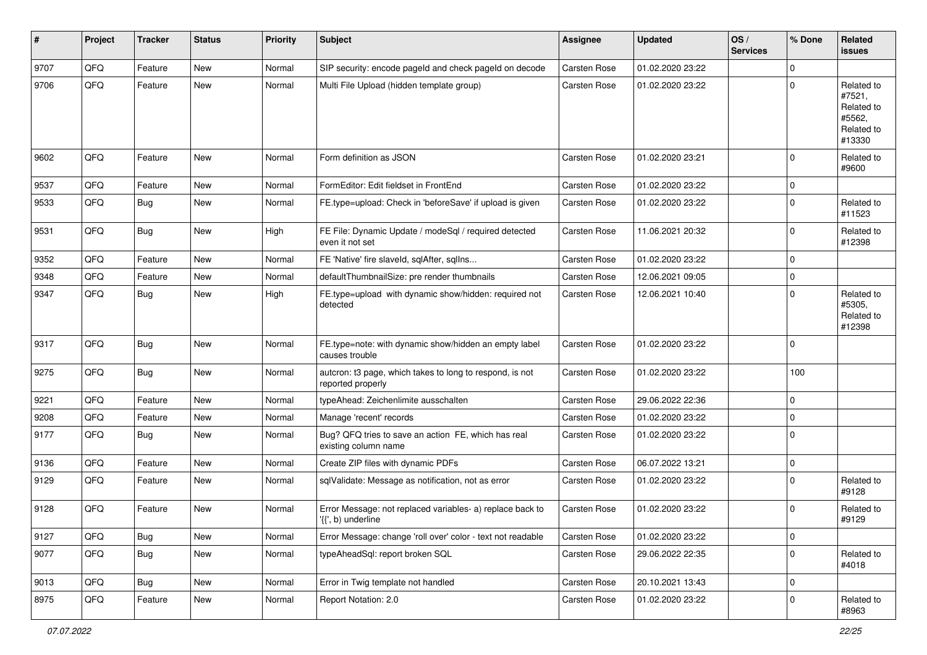| #    | Project | <b>Tracker</b> | <b>Status</b> | <b>Priority</b> | <b>Subject</b>                                                                  | <b>Assignee</b>     | <b>Updated</b>   | OS/<br><b>Services</b> | % Done      | Related<br><b>issues</b>                                             |
|------|---------|----------------|---------------|-----------------|---------------------------------------------------------------------------------|---------------------|------------------|------------------------|-------------|----------------------------------------------------------------------|
| 9707 | QFQ     | Feature        | <b>New</b>    | Normal          | SIP security: encode pageld and check pageld on decode                          | Carsten Rose        | 01.02.2020 23:22 |                        | $\Omega$    |                                                                      |
| 9706 | QFQ     | Feature        | <b>New</b>    | Normal          | Multi File Upload (hidden template group)                                       | Carsten Rose        | 01.02.2020 23:22 |                        | $\mathbf 0$ | Related to<br>#7521,<br>Related to<br>#5562,<br>Related to<br>#13330 |
| 9602 | QFQ     | Feature        | <b>New</b>    | Normal          | Form definition as JSON                                                         | Carsten Rose        | 01.02.2020 23:21 |                        | $\Omega$    | Related to<br>#9600                                                  |
| 9537 | QFQ     | Feature        | <b>New</b>    | Normal          | FormEditor: Edit fieldset in FrontEnd                                           | Carsten Rose        | 01.02.2020 23:22 |                        | 0           |                                                                      |
| 9533 | QFQ     | Bug            | <b>New</b>    | Normal          | FE.type=upload: Check in 'beforeSave' if upload is given                        | Carsten Rose        | 01.02.2020 23:22 |                        | $\Omega$    | Related to<br>#11523                                                 |
| 9531 | QFQ     | Bug            | New           | High            | FE File: Dynamic Update / modeSql / required detected<br>even it not set        | Carsten Rose        | 11.06.2021 20:32 |                        | $\mathbf 0$ | Related to<br>#12398                                                 |
| 9352 | QFQ     | Feature        | <b>New</b>    | Normal          | FE 'Native' fire slaveld, sqlAfter, sqlIns                                      | Carsten Rose        | 01.02.2020 23:22 |                        | $\mathbf 0$ |                                                                      |
| 9348 | QFQ     | Feature        | <b>New</b>    | Normal          | defaultThumbnailSize: pre render thumbnails                                     | Carsten Rose        | 12.06.2021 09:05 |                        | $\mathbf 0$ |                                                                      |
| 9347 | QFQ     | Bug            | New           | High            | FE.type=upload with dynamic show/hidden: required not<br>detected               | Carsten Rose        | 12.06.2021 10:40 |                        | $\Omega$    | Related to<br>#5305,<br>Related to<br>#12398                         |
| 9317 | QFQ     | Bug            | <b>New</b>    | Normal          | FE.type=note: with dynamic show/hidden an empty label<br>causes trouble         | Carsten Rose        | 01.02.2020 23:22 |                        | 0           |                                                                      |
| 9275 | QFQ     | Bug            | <b>New</b>    | Normal          | autcron: t3 page, which takes to long to respond, is not<br>reported properly   | Carsten Rose        | 01.02.2020 23:22 |                        | 100         |                                                                      |
| 9221 | QFQ     | Feature        | <b>New</b>    | Normal          | typeAhead: Zeichenlimite ausschalten                                            | Carsten Rose        | 29.06.2022 22:36 |                        | $\mathbf 0$ |                                                                      |
| 9208 | QFQ     | Feature        | <b>New</b>    | Normal          | Manage 'recent' records                                                         | Carsten Rose        | 01.02.2020 23:22 |                        | $\mathbf 0$ |                                                                      |
| 9177 | QFQ     | Bug            | <b>New</b>    | Normal          | Bug? QFQ tries to save an action FE, which has real<br>existing column name     | Carsten Rose        | 01.02.2020 23:22 |                        | $\mathbf 0$ |                                                                      |
| 9136 | QFQ     | Feature        | <b>New</b>    | Normal          | Create ZIP files with dynamic PDFs                                              | Carsten Rose        | 06.07.2022 13:21 |                        | $\mathbf 0$ |                                                                      |
| 9129 | QFQ     | Feature        | New           | Normal          | sqlValidate: Message as notification, not as error                              | Carsten Rose        | 01.02.2020 23:22 |                        | $\Omega$    | Related to<br>#9128                                                  |
| 9128 | QFQ     | Feature        | <b>New</b>    | Normal          | Error Message: not replaced variables- a) replace back to<br>'{{', b) underline | <b>Carsten Rose</b> | 01.02.2020 23:22 |                        | 0           | Related to<br>#9129                                                  |
| 9127 | QFQ     | Bug            | New           | Normal          | Error Message: change 'roll over' color - text not readable                     | Carsten Rose        | 01.02.2020 23:22 |                        | 0           |                                                                      |
| 9077 | QFQ     | Bug            | New           | Normal          | typeAheadSql: report broken SQL                                                 | Carsten Rose        | 29.06.2022 22:35 |                        | 0           | Related to<br>#4018                                                  |
| 9013 | QFQ     | Bug            | New           | Normal          | Error in Twig template not handled                                              | Carsten Rose        | 20.10.2021 13:43 |                        | 0           |                                                                      |
| 8975 | QFQ     | Feature        | New           | Normal          | Report Notation: 2.0                                                            | Carsten Rose        | 01.02.2020 23:22 |                        | 0           | Related to<br>#8963                                                  |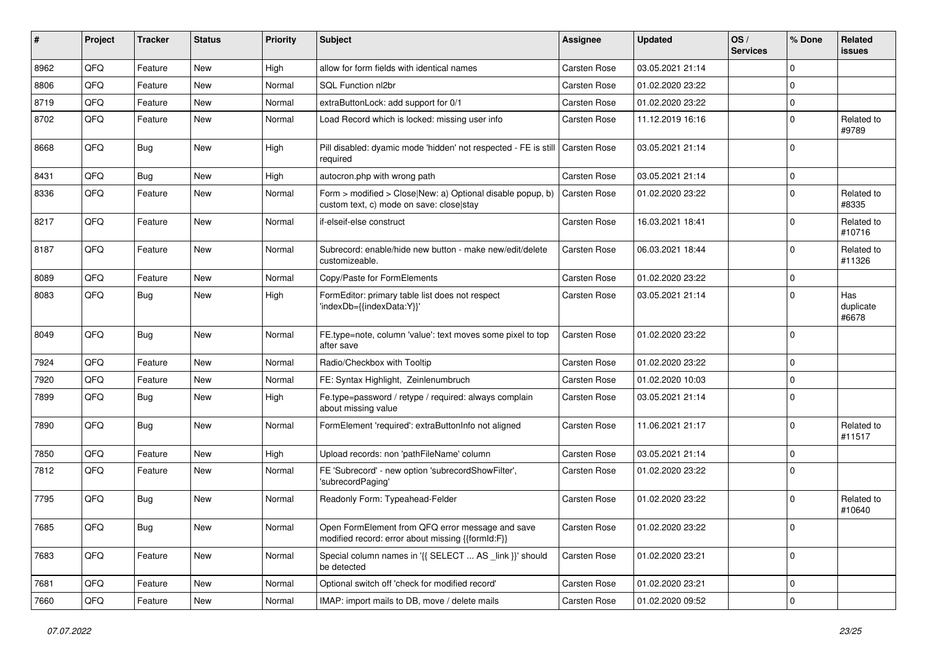| ∦    | Project | <b>Tracker</b> | <b>Status</b> | Priority | Subject                                                                                                | Assignee            | <b>Updated</b>   | OS/<br><b>Services</b> | % Done      | Related<br><b>issues</b>  |
|------|---------|----------------|---------------|----------|--------------------------------------------------------------------------------------------------------|---------------------|------------------|------------------------|-------------|---------------------------|
| 8962 | QFQ     | Feature        | <b>New</b>    | High     | allow for form fields with identical names                                                             | Carsten Rose        | 03.05.2021 21:14 |                        | $\Omega$    |                           |
| 8806 | QFQ     | Feature        | <b>New</b>    | Normal   | SQL Function nl2br                                                                                     | Carsten Rose        | 01.02.2020 23:22 |                        | $\Omega$    |                           |
| 8719 | QFQ     | Feature        | <b>New</b>    | Normal   | extraButtonLock: add support for 0/1                                                                   | Carsten Rose        | 01.02.2020 23:22 |                        | $\mathbf 0$ |                           |
| 8702 | QFQ     | Feature        | <b>New</b>    | Normal   | Load Record which is locked: missing user info                                                         | <b>Carsten Rose</b> | 11.12.2019 16:16 |                        | $\Omega$    | Related to<br>#9789       |
| 8668 | QFQ     | Bug            | <b>New</b>    | High     | Pill disabled: dyamic mode 'hidden' not respected - FE is still   Carsten Rose<br>required             |                     | 03.05.2021 21:14 |                        | $\Omega$    |                           |
| 8431 | QFQ     | Bug            | <b>New</b>    | High     | autocron.php with wrong path                                                                           | Carsten Rose        | 03.05.2021 21:14 |                        | $\Omega$    |                           |
| 8336 | QFQ     | Feature        | <b>New</b>    | Normal   | Form > modified > Close New: a) Optional disable popup, b)<br>custom text, c) mode on save: close stay | Carsten Rose        | 01.02.2020 23:22 |                        | $\Omega$    | Related to<br>#8335       |
| 8217 | QFQ     | Feature        | <b>New</b>    | Normal   | if-elseif-else construct                                                                               | Carsten Rose        | 16.03.2021 18:41 |                        | $\Omega$    | Related to<br>#10716      |
| 8187 | QFQ     | Feature        | New           | Normal   | Subrecord: enable/hide new button - make new/edit/delete<br>customizeable.                             | Carsten Rose        | 06.03.2021 18:44 |                        | $\Omega$    | Related to<br>#11326      |
| 8089 | QFQ     | Feature        | <b>New</b>    | Normal   | Copy/Paste for FormElements                                                                            | <b>Carsten Rose</b> | 01.02.2020 23:22 |                        | $\mathbf 0$ |                           |
| 8083 | QFQ     | Bug            | <b>New</b>    | High     | FormEditor: primary table list does not respect<br>'indexDb={{indexData:Y}}'                           | Carsten Rose        | 03.05.2021 21:14 |                        | $\Omega$    | Has<br>duplicate<br>#6678 |
| 8049 | QFQ     | Bug            | <b>New</b>    | Normal   | FE.type=note, column 'value': text moves some pixel to top<br>after save                               | <b>Carsten Rose</b> | 01.02.2020 23:22 |                        | $\Omega$    |                           |
| 7924 | QFQ     | Feature        | <b>New</b>    | Normal   | Radio/Checkbox with Tooltip                                                                            | Carsten Rose        | 01.02.2020 23:22 |                        | $\mathbf 0$ |                           |
| 7920 | QFQ     | Feature        | <b>New</b>    | Normal   | FE: Syntax Highlight, Zeinlenumbruch                                                                   | <b>Carsten Rose</b> | 01.02.2020 10:03 |                        | $\Omega$    |                           |
| 7899 | QFQ     | Bug            | <b>New</b>    | High     | Fe.type=password / retype / required: always complain<br>about missing value                           | Carsten Rose        | 03.05.2021 21:14 |                        | $\Omega$    |                           |
| 7890 | QFQ     | Bug            | <b>New</b>    | Normal   | FormElement 'required': extraButtonInfo not aligned                                                    | Carsten Rose        | 11.06.2021 21:17 |                        | $\Omega$    | Related to<br>#11517      |
| 7850 | QFQ     | Feature        | <b>New</b>    | High     | Upload records: non 'pathFileName' column                                                              | Carsten Rose        | 03.05.2021 21:14 |                        | $\Omega$    |                           |
| 7812 | QFQ     | Feature        | <b>New</b>    | Normal   | FE 'Subrecord' - new option 'subrecordShowFilter',<br>'subrecordPaging'                                | Carsten Rose        | 01.02.2020 23:22 |                        | $\Omega$    |                           |
| 7795 | QFQ     | Bug            | <b>New</b>    | Normal   | Readonly Form: Typeahead-Felder                                                                        | Carsten Rose        | 01.02.2020 23:22 |                        | $\Omega$    | Related to<br>#10640      |
| 7685 | QFQ     | <b>Bug</b>     | New           | Normal   | Open FormElement from QFQ error message and save<br>modified record: error about missing {{formId:F}}  | Carsten Rose        | 01.02.2020 23:22 |                        | 0           |                           |
| 7683 | QFQ     | Feature        | New           | Normal   | Special column names in '{{ SELECT  AS _link }}' should<br>be detected                                 | Carsten Rose        | 01.02.2020 23:21 |                        | 0           |                           |
| 7681 | QFQ     | Feature        | New           | Normal   | Optional switch off 'check for modified record'                                                        | Carsten Rose        | 01.02.2020 23:21 |                        | $\mathbf 0$ |                           |
| 7660 | QFG     | Feature        | New           | Normal   | IMAP: import mails to DB, move / delete mails                                                          | Carsten Rose        | 01.02.2020 09:52 |                        | $\mathbf 0$ |                           |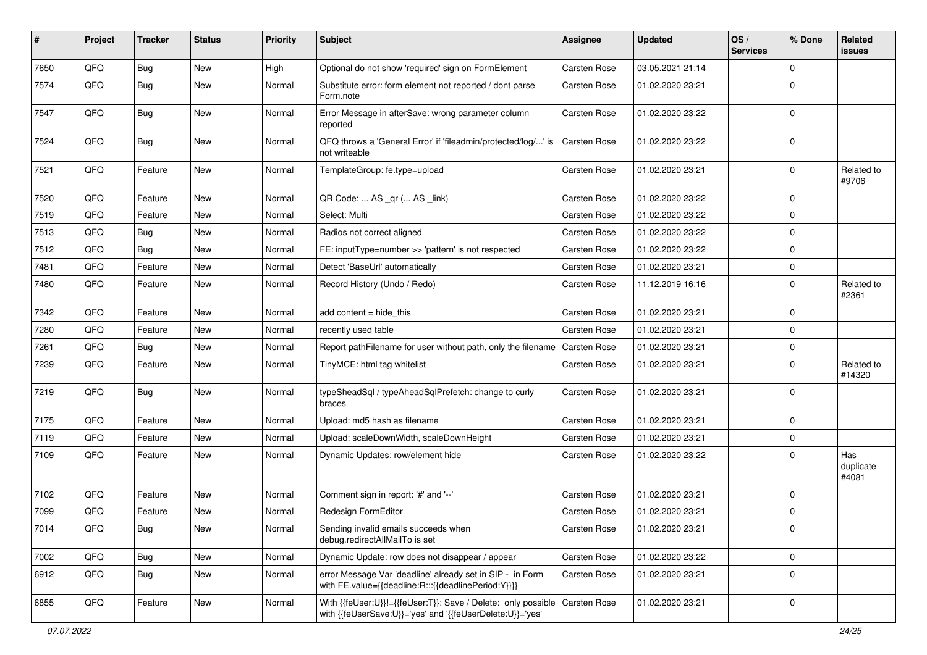| #    | Project | <b>Tracker</b> | <b>Status</b> | <b>Priority</b> | <b>Subject</b>                                                                                                             | <b>Assignee</b>     | <b>Updated</b>   | OS/<br><b>Services</b> | % Done      | Related<br>issues         |
|------|---------|----------------|---------------|-----------------|----------------------------------------------------------------------------------------------------------------------------|---------------------|------------------|------------------------|-------------|---------------------------|
| 7650 | QFQ     | Bug            | <b>New</b>    | High            | Optional do not show 'required' sign on FormElement                                                                        | Carsten Rose        | 03.05.2021 21:14 |                        | $\Omega$    |                           |
| 7574 | QFQ     | Bug            | New           | Normal          | Substitute error: form element not reported / dont parse<br>Form.note                                                      | <b>Carsten Rose</b> | 01.02.2020 23:21 |                        | $\Omega$    |                           |
| 7547 | QFQ     | Bug            | New           | Normal          | Error Message in afterSave: wrong parameter column<br>reported                                                             | <b>Carsten Rose</b> | 01.02.2020 23:22 |                        | $\Omega$    |                           |
| 7524 | QFQ     | <b>Bug</b>     | New           | Normal          | QFQ throws a 'General Error' if 'fileadmin/protected/log/' is<br>not writeable                                             | <b>Carsten Rose</b> | 01.02.2020 23:22 |                        | 0           |                           |
| 7521 | QFQ     | Feature        | New           | Normal          | TemplateGroup: fe.type=upload                                                                                              | Carsten Rose        | 01.02.2020 23:21 |                        | $\Omega$    | Related to<br>#9706       |
| 7520 | QFQ     | Feature        | New           | Normal          | QR Code:  AS _qr ( AS _link)                                                                                               | <b>Carsten Rose</b> | 01.02.2020 23:22 |                        | $\mathbf 0$ |                           |
| 7519 | QFQ     | Feature        | New           | Normal          | Select: Multi                                                                                                              | <b>Carsten Rose</b> | 01.02.2020 23:22 |                        | $\mathbf 0$ |                           |
| 7513 | QFQ     | Bug            | New           | Normal          | Radios not correct aligned                                                                                                 | <b>Carsten Rose</b> | 01.02.2020 23:22 |                        | $\mathbf 0$ |                           |
| 7512 | QFQ     | Bug            | New           | Normal          | FE: inputType=number >> 'pattern' is not respected                                                                         | <b>Carsten Rose</b> | 01.02.2020 23:22 |                        | $\mathbf 0$ |                           |
| 7481 | QFQ     | Feature        | New           | Normal          | Detect 'BaseUrl' automatically                                                                                             | Carsten Rose        | 01.02.2020 23:21 |                        | 0           |                           |
| 7480 | QFQ     | Feature        | New           | Normal          | Record History (Undo / Redo)                                                                                               | <b>Carsten Rose</b> | 11.12.2019 16:16 |                        | $\mathbf 0$ | Related to<br>#2361       |
| 7342 | QFQ     | Feature        | <b>New</b>    | Normal          | add content = hide_this                                                                                                    | <b>Carsten Rose</b> | 01.02.2020 23:21 |                        | 0           |                           |
| 7280 | QFQ     | Feature        | New           | Normal          | recently used table                                                                                                        | Carsten Rose        | 01.02.2020 23:21 |                        | $\Omega$    |                           |
| 7261 | QFQ     | Bug            | New           | Normal          | Report pathFilename for user without path, only the filename                                                               | <b>Carsten Rose</b> | 01.02.2020 23:21 |                        | $\mathbf 0$ |                           |
| 7239 | QFQ     | Feature        | New           | Normal          | TinyMCE: html tag whitelist                                                                                                | Carsten Rose        | 01.02.2020 23:21 |                        | $\Omega$    | Related to<br>#14320      |
| 7219 | QFQ     | Bug            | New           | Normal          | typeSheadSql / typeAheadSqlPrefetch: change to curly<br>braces                                                             | Carsten Rose        | 01.02.2020 23:21 |                        | 0           |                           |
| 7175 | QFQ     | Feature        | <b>New</b>    | Normal          | Upload: md5 hash as filename                                                                                               | <b>Carsten Rose</b> | 01.02.2020 23:21 |                        | $\Omega$    |                           |
| 7119 | QFQ     | Feature        | New           | Normal          | Upload: scaleDownWidth, scaleDownHeight                                                                                    | <b>Carsten Rose</b> | 01.02.2020 23:21 |                        | $\mathbf 0$ |                           |
| 7109 | QFQ     | Feature        | New           | Normal          | Dynamic Updates: row/element hide                                                                                          | <b>Carsten Rose</b> | 01.02.2020 23:22 |                        | $\Omega$    | Has<br>duplicate<br>#4081 |
| 7102 | QFQ     | Feature        | New           | Normal          | Comment sign in report: '#' and '--'                                                                                       | <b>Carsten Rose</b> | 01.02.2020 23:21 |                        | $\mathbf 0$ |                           |
| 7099 | QFQ     | Feature        | New           | Normal          | Redesign FormEditor                                                                                                        | <b>Carsten Rose</b> | 01.02.2020 23:21 |                        | $\mathbf 0$ |                           |
| 7014 | QFQ     | <b>Bug</b>     | New           | Normal          | Sending invalid emails succeeds when<br>debug.redirectAllMailTo is set                                                     | <b>Carsten Rose</b> | 01.02.2020 23:21 |                        | 0           |                           |
| 7002 | QFQ     | <b>Bug</b>     | New           | Normal          | Dynamic Update: row does not disappear / appear                                                                            | Carsten Rose        | 01.02.2020 23:22 |                        | 0           |                           |
| 6912 | QFQ     | Bug            | New           | Normal          | error Message Var 'deadline' already set in SIP - in Form<br>with FE.value={{deadline:R:::{{deadlinePeriod:Y}}}}           | Carsten Rose        | 01.02.2020 23:21 |                        | $\mathbf 0$ |                           |
| 6855 | QFQ     | Feature        | New           | Normal          | With {{feUser:U}}!={{feUser:T}}: Save / Delete: only possible<br>with {{feUserSave:U}}='yes' and '{{feUserDelete:U}}='yes' | Carsten Rose        | 01.02.2020 23:21 |                        | 0           |                           |